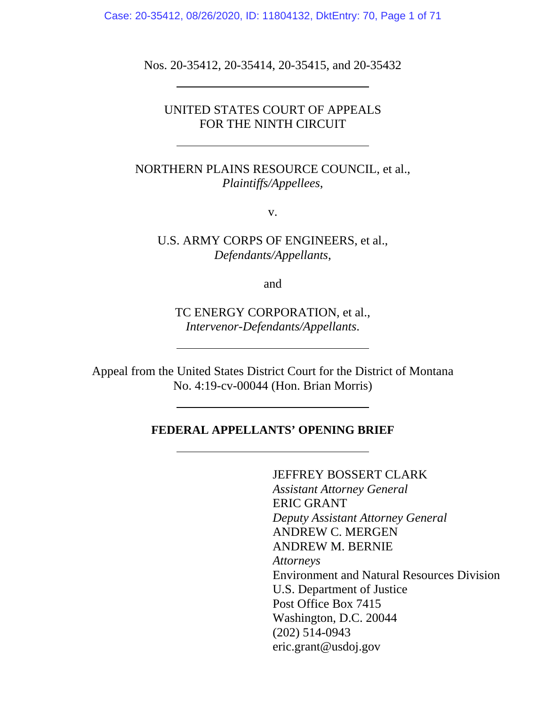Case: 20-35412, 08/26/2020, ID: 11804132, DktEntry: 70, Page 1 of 71

Nos. 20-35412, 20-35414, 20-35415, and 20-35432

 $\overline{a}$ 

l,

# UNITED STATES COURT OF APPEALS FOR THE NINTH CIRCUIT

NORTHERN PLAINS RESOURCE COUNCIL, et al., *Plaintiffs/Appellees*,

v.

U.S. ARMY CORPS OF ENGINEERS, et al., *Defendants/Appellants*,

and

TC ENERGY CORPORATION, et al., *Intervenor-Defendants/Appellants*.

Appeal from the United States District Court for the District of Montana No. 4:19-cv-00044 (Hon. Brian Morris)

## **FEDERAL APPELLANTS' OPENING BRIEF**

JEFFREY BOSSERT CLARK *Assistant Attorney General* ERIC GRANT *Deputy Assistant Attorney General* ANDREW C. MERGEN ANDREW M. BERNIE *Attorneys*  Environment and Natural Resources Division U.S. Department of Justice Post Office Box 7415 Washington, D.C. 20044 (202) 514-0943 eric.grant@usdoj.gov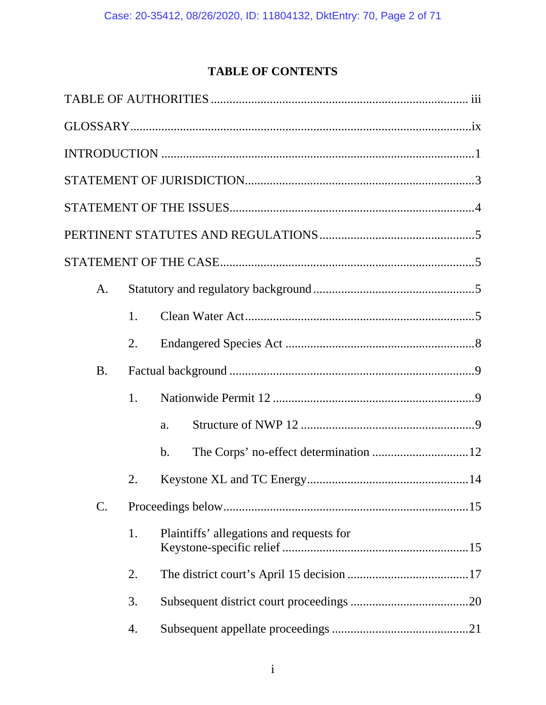# **TABLE OF CONTENTS**

| A.              |    |                                          |
|-----------------|----|------------------------------------------|
|                 | 1. |                                          |
|                 | 2. |                                          |
| <b>B.</b>       |    |                                          |
|                 | 1. |                                          |
|                 |    | a.                                       |
|                 |    | $\mathbf b$ .                            |
|                 | 2. |                                          |
| $\mathcal{C}$ . |    |                                          |
|                 | 1. | Plaintiffs' allegations and requests for |
|                 | 2. |                                          |
|                 | 3. |                                          |
|                 | 4. |                                          |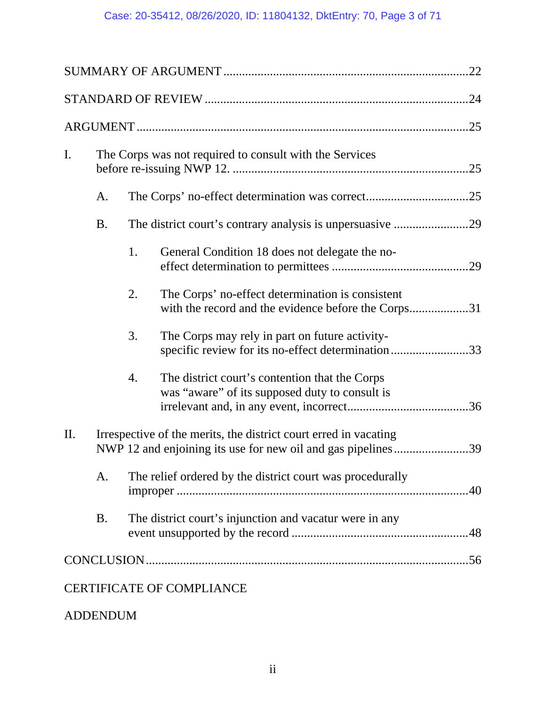# Case: 20-35412, 08/26/2020, ID: 11804132, DktEntry: 70, Page 3 of 71

| I.  | The Corps was not required to consult with the Services                                                                          |                                                           |                                                                                                         |  |
|-----|----------------------------------------------------------------------------------------------------------------------------------|-----------------------------------------------------------|---------------------------------------------------------------------------------------------------------|--|
|     | A.                                                                                                                               |                                                           |                                                                                                         |  |
|     | <b>B.</b>                                                                                                                        |                                                           | The district court's contrary analysis is unpersuasive 29                                               |  |
|     |                                                                                                                                  | 1.                                                        | General Condition 18 does not delegate the no-                                                          |  |
|     |                                                                                                                                  | 2.                                                        | The Corps' no-effect determination is consistent<br>with the record and the evidence before the Corps31 |  |
|     |                                                                                                                                  | 3.                                                        | The Corps may rely in part on future activity-<br>specific review for its no-effect determination33     |  |
|     |                                                                                                                                  | 4.                                                        | The district court's contention that the Corps<br>was "aware" of its supposed duty to consult is        |  |
| II. | Irrespective of the merits, the district court erred in vacating<br>NWP 12 and enjoining its use for new oil and gas pipelines39 |                                                           |                                                                                                         |  |
|     | A.                                                                                                                               | The relief ordered by the district court was procedurally |                                                                                                         |  |
|     | <b>B.</b>                                                                                                                        | The district court's injunction and vacatur were in any   |                                                                                                         |  |
|     |                                                                                                                                  |                                                           |                                                                                                         |  |
|     |                                                                                                                                  |                                                           | <b>CERTIFICATE OF COMPLIANCE</b>                                                                        |  |

# ADDENDUM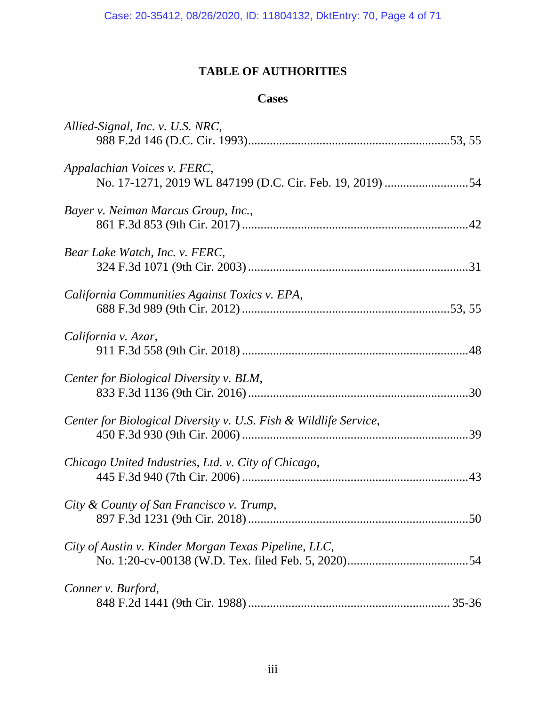# **TABLE OF AUTHORITIES**

# **Cases**

| Allied-Signal, Inc. v. U.S. NRC,                                                        |
|-----------------------------------------------------------------------------------------|
| Appalachian Voices v. FERC,<br>No. 17-1271, 2019 WL 847199 (D.C. Cir. Feb. 19, 2019) 54 |
| Bayer v. Neiman Marcus Group, Inc.,                                                     |
| Bear Lake Watch, Inc. v. FERC,                                                          |
| California Communities Against Toxics v. EPA,                                           |
| California v. Azar,                                                                     |
| Center for Biological Diversity v. BLM,                                                 |
| Center for Biological Diversity v. U.S. Fish & Wildlife Service,                        |
| Chicago United Industries, Ltd. v. City of Chicago,                                     |
| City & County of San Francisco v. Trump,<br>50                                          |
| City of Austin v. Kinder Morgan Texas Pipeline, LLC,                                    |
| Conner v. Burford,                                                                      |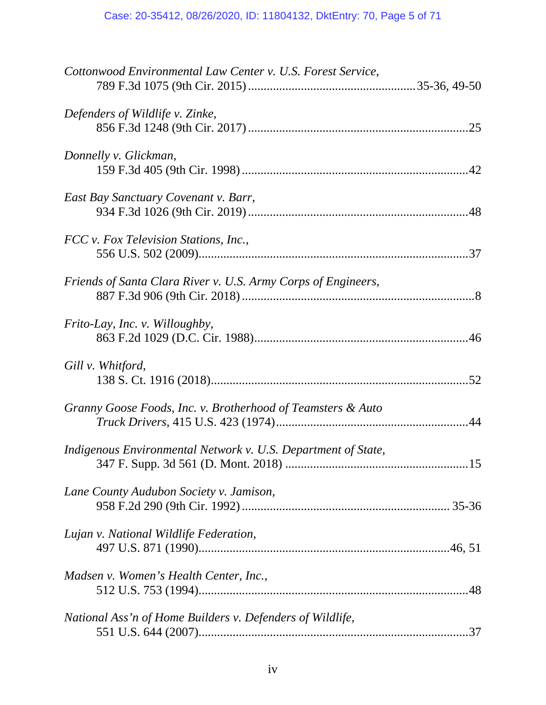# Case: 20-35412, 08/26/2020, ID: 11804132, DktEntry: 70, Page 5 of 71

| Cottonwood Environmental Law Center v. U.S. Forest Service,   |  |
|---------------------------------------------------------------|--|
| Defenders of Wildlife v. Zinke,                               |  |
| Donnelly v. Glickman,                                         |  |
| East Bay Sanctuary Covenant v. Barr,                          |  |
| FCC v. Fox Television Stations, Inc.,                         |  |
| Friends of Santa Clara River v. U.S. Army Corps of Engineers, |  |
| Frito-Lay, Inc. v. Willoughby,                                |  |
| Gill v. Whitford,                                             |  |
| Granny Goose Foods, Inc. v. Brotherhood of Teamsters & Auto   |  |
| Indigenous Environmental Network v. U.S. Department of State, |  |
| Lane County Audubon Society v. Jamison,                       |  |
| Lujan v. National Wildlife Federation,                        |  |
| Madsen v. Women's Health Center, Inc.,                        |  |
| National Ass'n of Home Builders v. Defenders of Wildlife,     |  |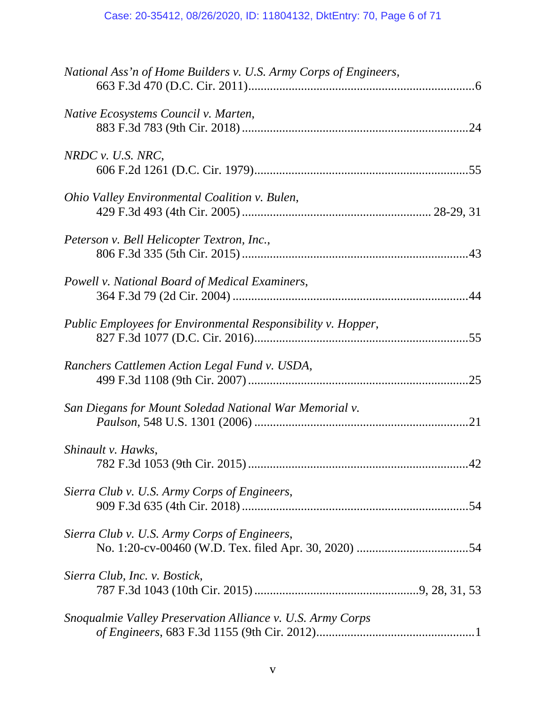| National Ass'n of Home Builders v. U.S. Army Corps of Engineers, |    |
|------------------------------------------------------------------|----|
| Native Ecosystems Council v. Marten,                             |    |
| $NRDC$ v. U.S. NRC,                                              |    |
| Ohio Valley Environmental Coalition v. Bulen,                    |    |
| Peterson v. Bell Helicopter Textron, Inc.,                       |    |
| Powell v. National Board of Medical Examiners,                   |    |
| Public Employees for Environmental Responsibility v. Hopper,     |    |
| Ranchers Cattlemen Action Legal Fund v. USDA,                    |    |
| San Diegans for Mount Soledad National War Memorial v.           |    |
| Shinault v. Hawks,                                               | 42 |
| Sierra Club v. U.S. Army Corps of Engineers,                     |    |
| Sierra Club v. U.S. Army Corps of Engineers,                     |    |
| Sierra Club, Inc. v. Bostick,                                    |    |
| Snoqualmie Valley Preservation Alliance v. U.S. Army Corps       |    |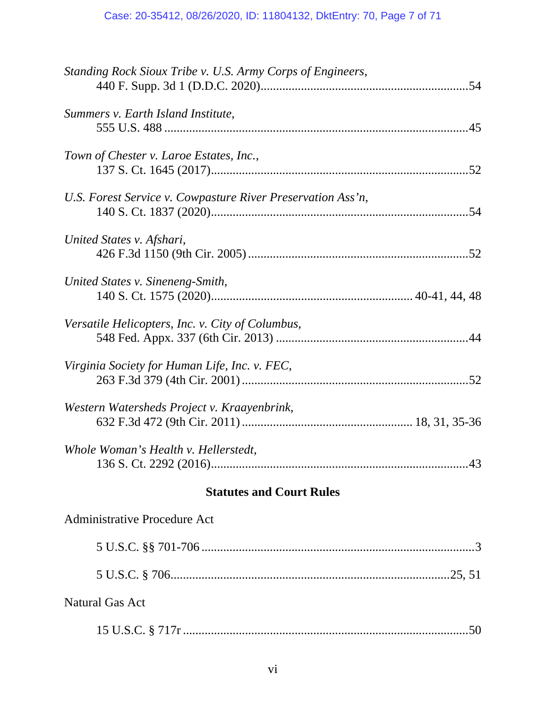| Standing Rock Sioux Tribe v. U.S. Army Corps of Engineers,  |
|-------------------------------------------------------------|
| Summers v. Earth Island Institute,                          |
| Town of Chester v. Laroe Estates, Inc.,                     |
| U.S. Forest Service v. Cowpasture River Preservation Ass'n, |
| United States v. Afshari,                                   |
| United States v. Sineneng-Smith,                            |
| Versatile Helicopters, Inc. v. City of Columbus,            |
| Virginia Society for Human Life, Inc. v. FEC,               |
| Western Watersheds Project v. Kraayenbrink,                 |
| Whole Woman's Health v. Hellerstedt,                        |
| <b>Statutes and Court Rules</b>                             |
| <b>Administrative Procedure Act</b>                         |
|                                                             |
|                                                             |

# Natural Gas Act

|--|--|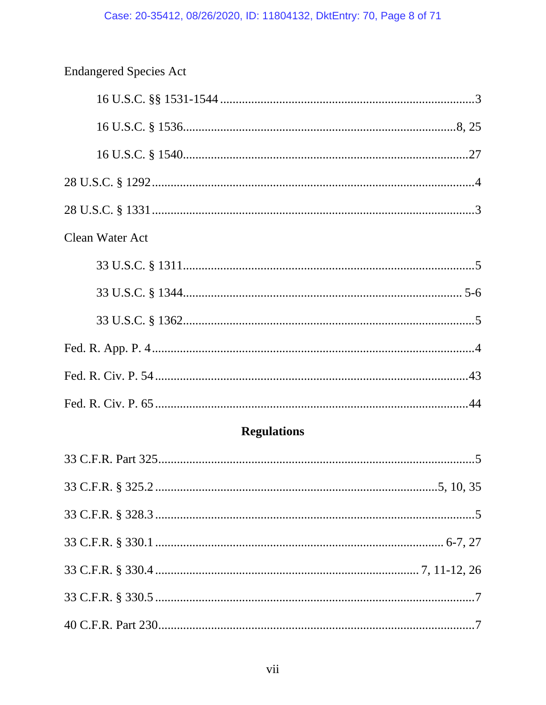| <b>Endangered Species Act</b> |  |
|-------------------------------|--|
|                               |  |
|                               |  |
|                               |  |
|                               |  |
|                               |  |
| <b>Clean Water Act</b>        |  |
|                               |  |
|                               |  |
|                               |  |
|                               |  |
|                               |  |
|                               |  |
| <b>Regulations</b>            |  |
|                               |  |
|                               |  |
|                               |  |
|                               |  |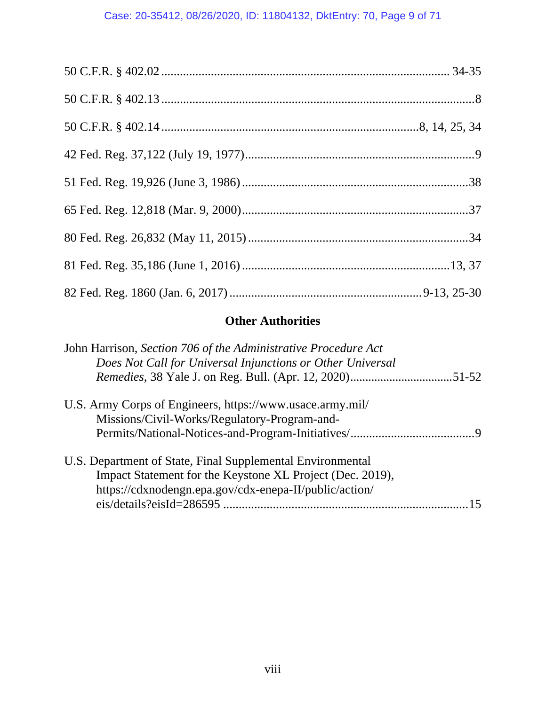# Case: 20-35412, 08/26/2020, ID: 11804132, DktEntry: 70, Page 9 of 71

# **Other Authorities**

| John Harrison, Section 706 of the Administrative Procedure Act |
|----------------------------------------------------------------|
| Does Not Call for Universal Injunctions or Other Universal     |
|                                                                |
| U.S. Army Corps of Engineers, https://www.usace.army.mil/      |
| Missions/Civil-Works/Regulatory-Program-and-                   |
|                                                                |
| U.S. Department of State, Final Supplemental Environmental     |
| Impact Statement for the Keystone XL Project (Dec. 2019),      |
| https://cdxnodengn.epa.gov/cdx-enepa-II/public/action/         |
|                                                                |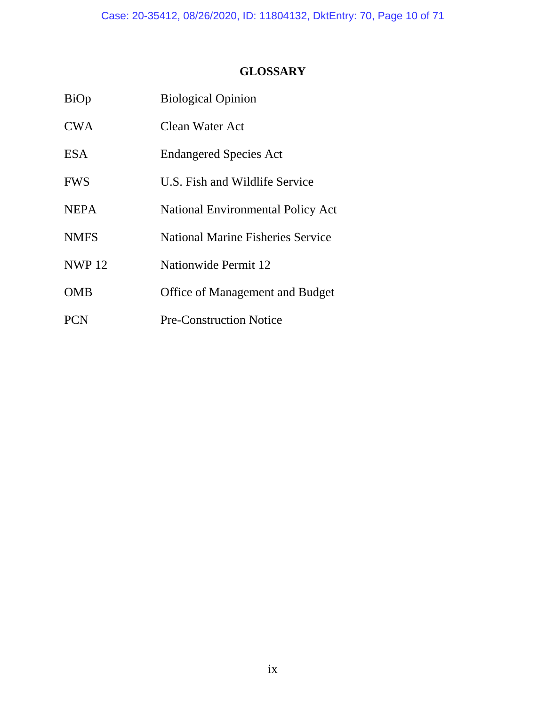# **GLOSSARY**

| BiOp         | <b>Biological Opinion</b>                |
|--------------|------------------------------------------|
| <b>CWA</b>   | Clean Water Act                          |
| <b>ESA</b>   | <b>Endangered Species Act</b>            |
| <b>FWS</b>   | U.S. Fish and Wildlife Service           |
| <b>NEPA</b>  | <b>National Environmental Policy Act</b> |
| <b>NMFS</b>  | <b>National Marine Fisheries Service</b> |
| <b>NWP12</b> | Nationwide Permit 12                     |
| <b>OMB</b>   | <b>Office of Management and Budget</b>   |
| <b>PCN</b>   | <b>Pre-Construction Notice</b>           |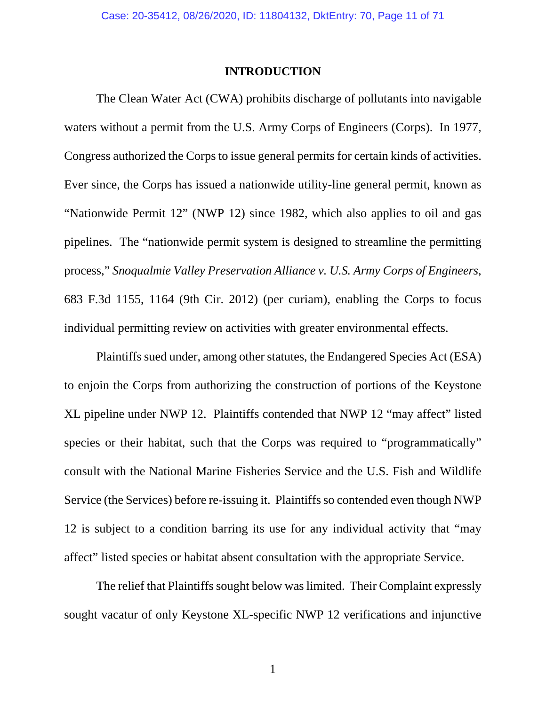### **INTRODUCTION**

 The Clean Water Act (CWA) prohibits discharge of pollutants into navigable waters without a permit from the U.S. Army Corps of Engineers (Corps). In 1977, Congress authorized the Corps to issue general permits for certain kinds of activities. Ever since, the Corps has issued a nationwide utility-line general permit, known as "Nationwide Permit 12" (NWP 12) since 1982, which also applies to oil and gas pipelines. The "nationwide permit system is designed to streamline the permitting process," *Snoqualmie Valley Preservation Alliance v. U.S. Army Corps of Engineers*, 683 F.3d 1155, 1164 (9th Cir. 2012) (per curiam), enabling the Corps to focus individual permitting review on activities with greater environmental effects.

 Plaintiffs sued under, among other statutes, the Endangered Species Act (ESA) to enjoin the Corps from authorizing the construction of portions of the Keystone XL pipeline under NWP 12. Plaintiffs contended that NWP 12 "may affect" listed species or their habitat, such that the Corps was required to "programmatically" consult with the National Marine Fisheries Service and the U.S. Fish and Wildlife Service (the Services) before re-issuing it. Plaintiffs so contended even though NWP 12 is subject to a condition barring its use for any individual activity that "may affect" listed species or habitat absent consultation with the appropriate Service.

The relief that Plaintiffs sought below was limited. Their Complaint expressly sought vacatur of only Keystone XL-specific NWP 12 verifications and injunctive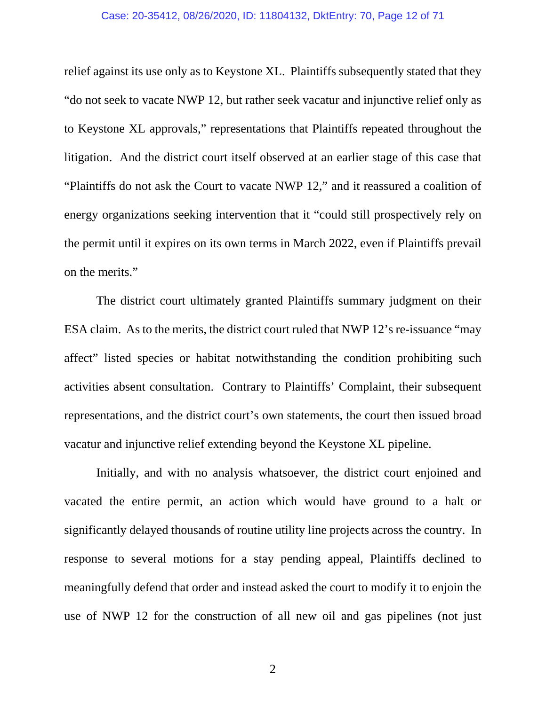### Case: 20-35412, 08/26/2020, ID: 11804132, DktEntry: 70, Page 12 of 71

relief against its use only as to Keystone XL. Plaintiffs subsequently stated that they "do not seek to vacate NWP 12, but rather seek vacatur and injunctive relief only as to Keystone XL approvals," representations that Plaintiffs repeated throughout the litigation. And the district court itself observed at an earlier stage of this case that "Plaintiffs do not ask the Court to vacate NWP 12," and it reassured a coalition of energy organizations seeking intervention that it "could still prospectively rely on the permit until it expires on its own terms in March 2022, even if Plaintiffs prevail on the merits."

 The district court ultimately granted Plaintiffs summary judgment on their ESA claim. As to the merits, the district court ruled that NWP 12's re-issuance "may affect" listed species or habitat notwithstanding the condition prohibiting such activities absent consultation. Contrary to Plaintiffs' Complaint, their subsequent representations, and the district court's own statements, the court then issued broad vacatur and injunctive relief extending beyond the Keystone XL pipeline.

Initially, and with no analysis whatsoever, the district court enjoined and vacated the entire permit, an action which would have ground to a halt or significantly delayed thousands of routine utility line projects across the country. In response to several motions for a stay pending appeal, Plaintiffs declined to meaningfully defend that order and instead asked the court to modify it to enjoin the use of NWP 12 for the construction of all new oil and gas pipelines (not just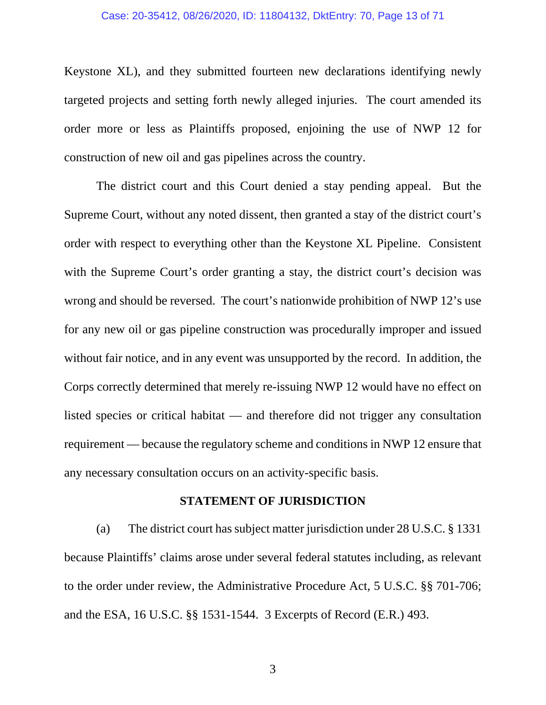## Case: 20-35412, 08/26/2020, ID: 11804132, DktEntry: 70, Page 13 of 71

Keystone XL), and they submitted fourteen new declarations identifying newly targeted projects and setting forth newly alleged injuries. The court amended its order more or less as Plaintiffs proposed, enjoining the use of NWP 12 for construction of new oil and gas pipelines across the country.

The district court and this Court denied a stay pending appeal. But the Supreme Court, without any noted dissent, then granted a stay of the district court's order with respect to everything other than the Keystone XL Pipeline. Consistent with the Supreme Court's order granting a stay, the district court's decision was wrong and should be reversed. The court's nationwide prohibition of NWP 12's use for any new oil or gas pipeline construction was procedurally improper and issued without fair notice, and in any event was unsupported by the record. In addition, the Corps correctly determined that merely re-issuing NWP 12 would have no effect on listed species or critical habitat — and therefore did not trigger any consultation requirement — because the regulatory scheme and conditions in NWP 12 ensure that any necessary consultation occurs on an activity-specific basis.

## **STATEMENT OF JURISDICTION**

 (a) The district court has subject matter jurisdiction under 28 U.S.C. § 1331 because Plaintiffs' claims arose under several federal statutes including, as relevant to the order under review, the Administrative Procedure Act, 5 U.S.C. §§ 701-706; and the ESA, 16 U.S.C. §§ 1531-1544. 3 Excerpts of Record (E.R.) 493.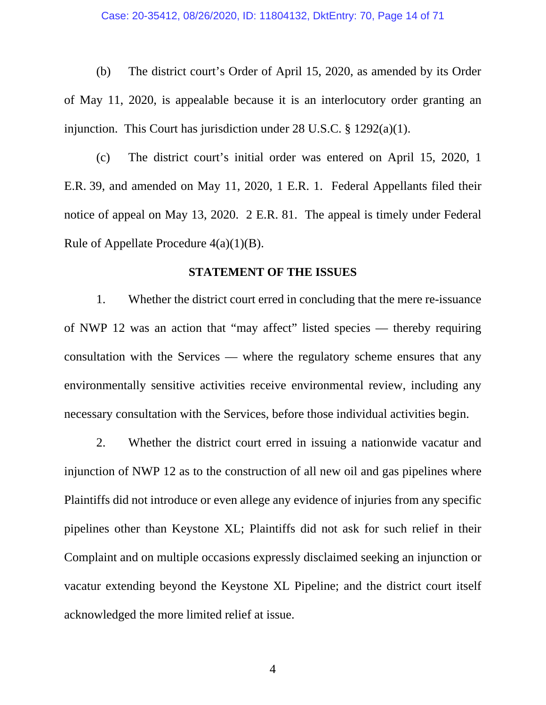(b) The district court's Order of April 15, 2020, as amended by its Order of May 11, 2020, is appealable because it is an interlocutory order granting an injunction. This Court has jurisdiction under 28 U.S.C. § 1292(a)(1).

 (c) The district court's initial order was entered on April 15, 2020, 1 E.R. 39, and amended on May 11, 2020, 1 E.R. 1. Federal Appellants filed their notice of appeal on May 13, 2020. 2 E.R. 81. The appeal is timely under Federal Rule of Appellate Procedure  $4(a)(1)(B)$ .

## **STATEMENT OF THE ISSUES**

1. Whether the district court erred in concluding that the mere re-issuance of NWP 12 was an action that "may affect" listed species — thereby requiring consultation with the Services — where the regulatory scheme ensures that any environmentally sensitive activities receive environmental review, including any necessary consultation with the Services, before those individual activities begin.

 2. Whether the district court erred in issuing a nationwide vacatur and injunction of NWP 12 as to the construction of all new oil and gas pipelines where Plaintiffs did not introduce or even allege any evidence of injuries from any specific pipelines other than Keystone XL; Plaintiffs did not ask for such relief in their Complaint and on multiple occasions expressly disclaimed seeking an injunction or vacatur extending beyond the Keystone XL Pipeline; and the district court itself acknowledged the more limited relief at issue.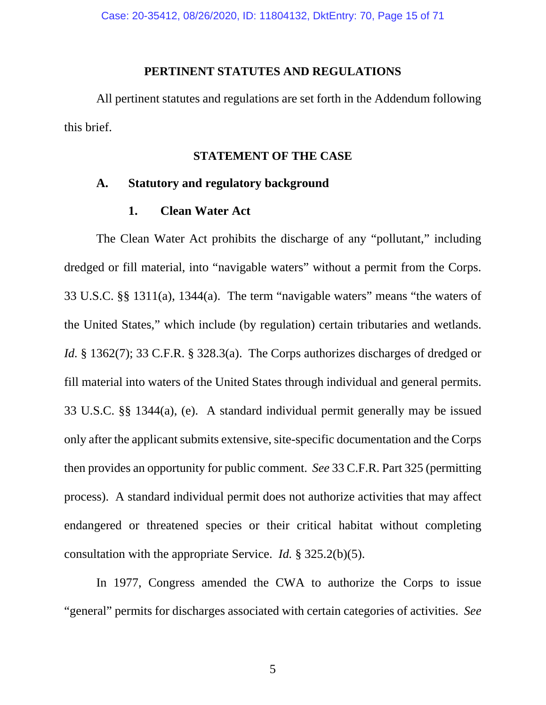## **PERTINENT STATUTES AND REGULATIONS**

 All pertinent statutes and regulations are set forth in the Addendum following this brief.

# **STATEMENT OF THE CASE**

## **A. Statutory and regulatory background**

## **1. Clean Water Act**

 The Clean Water Act prohibits the discharge of any "pollutant," including dredged or fill material, into "navigable waters" without a permit from the Corps. 33 U.S.C. §§ 1311(a), 1344(a). The term "navigable waters" means "the waters of the United States," which include (by regulation) certain tributaries and wetlands. *Id.* § 1362(7); 33 C.F.R. § 328.3(a). The Corps authorizes discharges of dredged or fill material into waters of the United States through individual and general permits. 33 U.S.C. §§ 1344(a), (e). A standard individual permit generally may be issued only after the applicant submits extensive, site-specific documentation and the Corps then provides an opportunity for public comment. *See* 33 C.F.R. Part 325 (permitting process). A standard individual permit does not authorize activities that may affect endangered or threatened species or their critical habitat without completing consultation with the appropriate Service. *Id.* § 325.2(b)(5).

 In 1977, Congress amended the CWA to authorize the Corps to issue "general" permits for discharges associated with certain categories of activities. *See*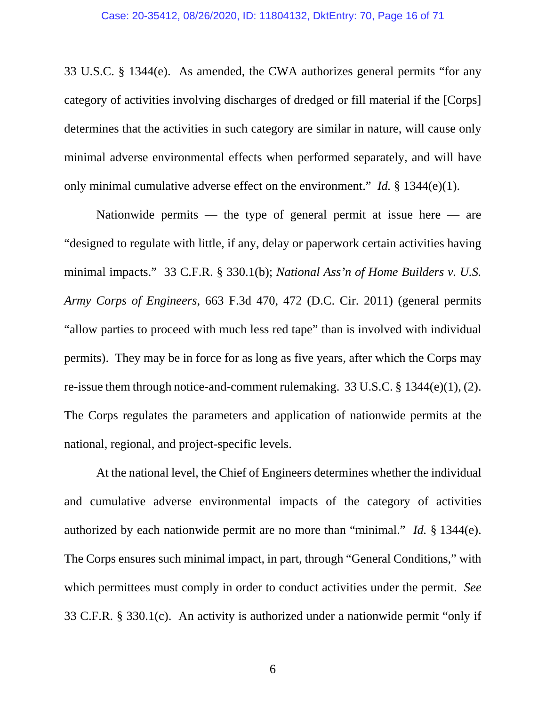33 U.S.C. § 1344(e). As amended, the CWA authorizes general permits "for any category of activities involving discharges of dredged or fill material if the [Corps] determines that the activities in such category are similar in nature, will cause only minimal adverse environmental effects when performed separately, and will have only minimal cumulative adverse effect on the environment." *Id.* § 1344(e)(1).

Nationwide permits — the type of general permit at issue here — are "designed to regulate with little, if any, delay or paperwork certain activities having minimal impacts." 33 C.F.R. § 330.1(b); *National Ass'n of Home Builders v. U.S. Army Corps of Engineers*, 663 F.3d 470, 472 (D.C. Cir. 2011) (general permits "allow parties to proceed with much less red tape" than is involved with individual permits). They may be in force for as long as five years, after which the Corps may re-issue them through notice-and-comment rulemaking. 33 U.S.C. § 1344(e)(1), (2). The Corps regulates the parameters and application of nationwide permits at the national, regional, and project-specific levels.

 At the national level, the Chief of Engineers determines whether the individual and cumulative adverse environmental impacts of the category of activities authorized by each nationwide permit are no more than "minimal." *Id.* § 1344(e). The Corps ensures such minimal impact, in part, through "General Conditions," with which permittees must comply in order to conduct activities under the permit. *See* 33 C.F.R. § 330.1(c). An activity is authorized under a nationwide permit "only if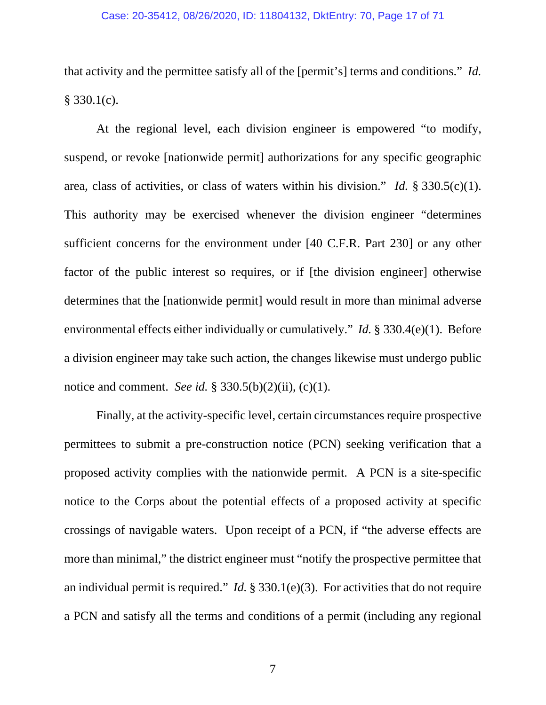### Case: 20-35412, 08/26/2020, ID: 11804132, DktEntry: 70, Page 17 of 71

that activity and the permittee satisfy all of the [permit's] terms and conditions." *Id.*  § 330.1(c).

 At the regional level, each division engineer is empowered "to modify, suspend, or revoke [nationwide permit] authorizations for any specific geographic area, class of activities, or class of waters within his division." *Id.* § 330.5(c)(1). This authority may be exercised whenever the division engineer "determines sufficient concerns for the environment under [40 C.F.R. Part 230] or any other factor of the public interest so requires, or if [the division engineer] otherwise determines that the [nationwide permit] would result in more than minimal adverse environmental effects either individually or cumulatively." *Id.* § 330.4(e)(1). Before a division engineer may take such action, the changes likewise must undergo public notice and comment. *See id.* § 330.5(b)(2)(ii), (c)(1).

 Finally, at the activity-specific level, certain circumstances require prospective permittees to submit a pre-construction notice (PCN) seeking verification that a proposed activity complies with the nationwide permit. A PCN is a site-specific notice to the Corps about the potential effects of a proposed activity at specific crossings of navigable waters. Upon receipt of a PCN, if "the adverse effects are more than minimal," the district engineer must "notify the prospective permittee that an individual permit is required." *Id.* § 330.1(e)(3). For activities that do not require a PCN and satisfy all the terms and conditions of a permit (including any regional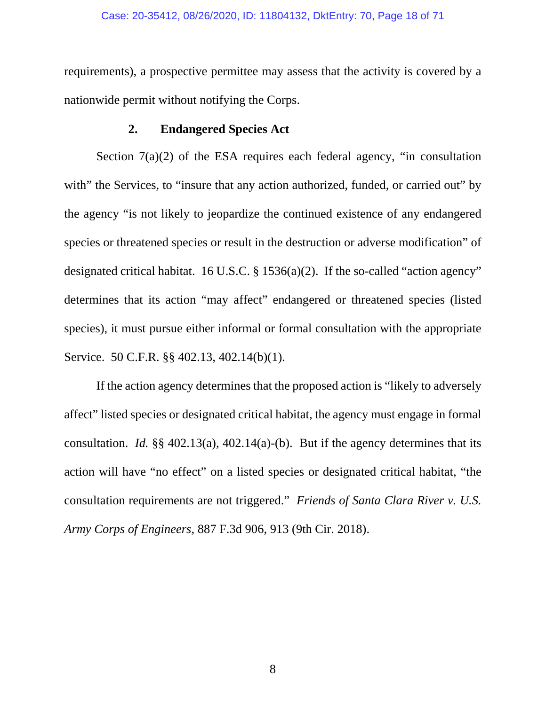## Case: 20-35412, 08/26/2020, ID: 11804132, DktEntry: 70, Page 18 of 71

requirements), a prospective permittee may assess that the activity is covered by a nationwide permit without notifying the Corps.

# **2. Endangered Species Act**

Section 7(a)(2) of the ESA requires each federal agency, "in consultation with" the Services, to "insure that any action authorized, funded, or carried out" by the agency "is not likely to jeopardize the continued existence of any endangered species or threatened species or result in the destruction or adverse modification" of designated critical habitat. 16 U.S.C. § 1536(a)(2). If the so-called "action agency" determines that its action "may affect" endangered or threatened species (listed species), it must pursue either informal or formal consultation with the appropriate Service. 50 C.F.R. §§ 402.13, 402.14(b)(1).

If the action agency determines that the proposed action is "likely to adversely affect" listed species or designated critical habitat, the agency must engage in formal consultation. *Id.* §§ 402.13(a), 402.14(a)-(b). But if the agency determines that its action will have "no effect" on a listed species or designated critical habitat, "the consultation requirements are not triggered." *Friends of Santa Clara River v. U.S. Army Corps of Engineers*, 887 F.3d 906, 913 (9th Cir. 2018).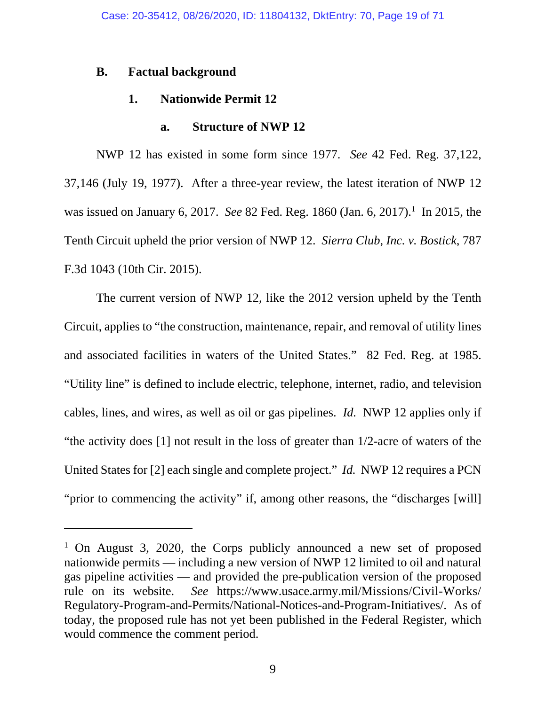## **B. Factual background**

 $\overline{a}$ 

## **1. Nationwide Permit 12**

## **a. Structure of NWP 12**

 NWP 12 has existed in some form since 1977. *See* 42 Fed. Reg. 37,122, 37,146 (July 19, 1977). After a three-year review, the latest iteration of NWP 12 was issued on January 6, 2017. *See* 82 Fed. Reg. 1860 (Jan. 6, 2017).<sup>1</sup> In 2015, the Tenth Circuit upheld the prior version of NWP 12. *Sierra Club, Inc. v. Bostick*, 787 F.3d 1043 (10th Cir. 2015).

 The current version of NWP 12, like the 2012 version upheld by the Tenth Circuit, applies to "the construction, maintenance, repair, and removal of utility lines and associated facilities in waters of the United States." 82 Fed. Reg. at 1985. "Utility line" is defined to include electric, telephone, internet, radio, and television cables, lines, and wires, as well as oil or gas pipelines. *Id.* NWP 12 applies only if "the activity does [1] not result in the loss of greater than 1/2-acre of waters of the United States for [2] each single and complete project." *Id.* NWP 12 requires a PCN "prior to commencing the activity" if, among other reasons, the "discharges [will]

<sup>&</sup>lt;sup>1</sup> On August 3, 2020, the Corps publicly announced a new set of proposed nationwide permits — including a new version of NWP 12 limited to oil and natural gas pipeline activities — and provided the pre-publication version of the proposed rule on its website. *See* https://www.usace.army.mil/Missions/Civil-Works/ Regulatory-Program-and-Permits/National-Notices-and-Program-Initiatives/. As of today, the proposed rule has not yet been published in the Federal Register, which would commence the comment period.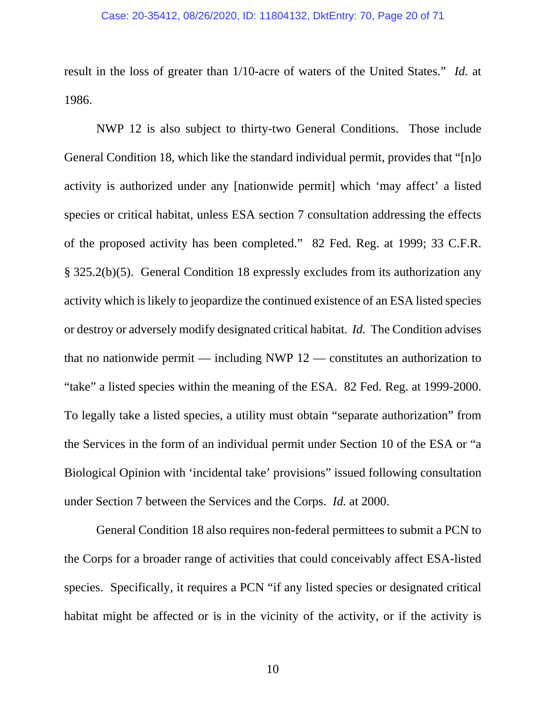## Case: 20-35412, 08/26/2020, ID: 11804132, DktEntry: 70, Page 20 of 71

result in the loss of greater than 1/10-acre of waters of the United States." *Id.* at 1986.

 NWP 12 is also subject to thirty-two General Conditions. Those include General Condition 18, which like the standard individual permit, provides that "[n]o activity is authorized under any [nationwide permit] which 'may affect' a listed species or critical habitat, unless ESA section 7 consultation addressing the effects of the proposed activity has been completed." 82 Fed. Reg. at 1999; 33 C.F.R. § 325.2(b)(5). General Condition 18 expressly excludes from its authorization any activity which is likely to jeopardize the continued existence of an ESA listed species or destroy or adversely modify designated critical habitat. *Id.* The Condition advises that no nationwide permit — including NWP 12 — constitutes an authorization to "take" a listed species within the meaning of the ESA. 82 Fed. Reg. at 1999-2000. To legally take a listed species, a utility must obtain "separate authorization" from the Services in the form of an individual permit under Section 10 of the ESA or "a Biological Opinion with 'incidental take' provisions" issued following consultation under Section 7 between the Services and the Corps. *Id.* at 2000.

 General Condition 18 also requires non-federal permittees to submit a PCN to the Corps for a broader range of activities that could conceivably affect ESA-listed species. Specifically, it requires a PCN "if any listed species or designated critical habitat might be affected or is in the vicinity of the activity, or if the activity is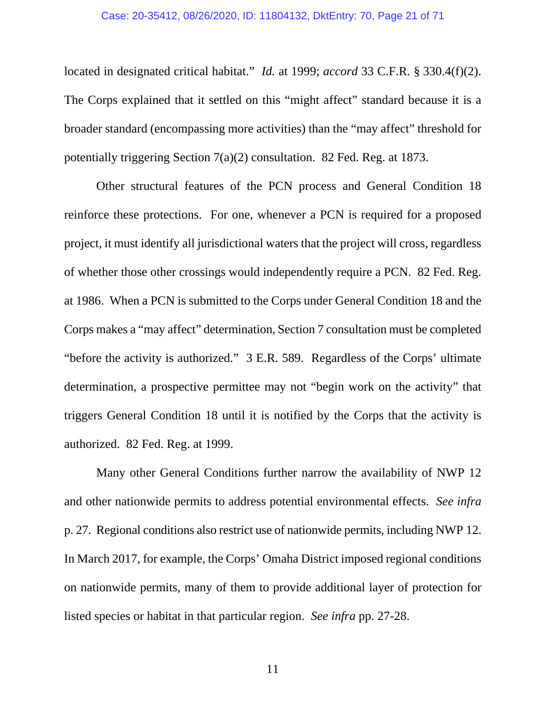#### Case: 20-35412, 08/26/2020, ID: 11804132, DktEntry: 70, Page 21 of 71

located in designated critical habitat." *Id.* at 1999; *accord* 33 C.F.R. § 330.4(f)(2). The Corps explained that it settled on this "might affect" standard because it is a broader standard (encompassing more activities) than the "may affect" threshold for potentially triggering Section 7(a)(2) consultation. 82 Fed. Reg. at 1873.

 Other structural features of the PCN process and General Condition 18 reinforce these protections. For one, whenever a PCN is required for a proposed project, it must identify all jurisdictional waters that the project will cross, regardless of whether those other crossings would independently require a PCN. 82 Fed. Reg. at 1986. When a PCN is submitted to the Corps under General Condition 18 and the Corps makes a "may affect" determination, Section 7 consultation must be completed "before the activity is authorized." 3 E.R. 589. Regardless of the Corps' ultimate determination, a prospective permittee may not "begin work on the activity" that triggers General Condition 18 until it is notified by the Corps that the activity is authorized. 82 Fed. Reg. at 1999.

 Many other General Conditions further narrow the availability of NWP 12 and other nationwide permits to address potential environmental effects. *See infra*  p. 27. Regional conditions also restrict use of nationwide permits, including NWP 12. In March 2017, for example, the Corps' Omaha District imposed regional conditions on nationwide permits, many of them to provide additional layer of protection for listed species or habitat in that particular region. *See infra* pp. 27-28.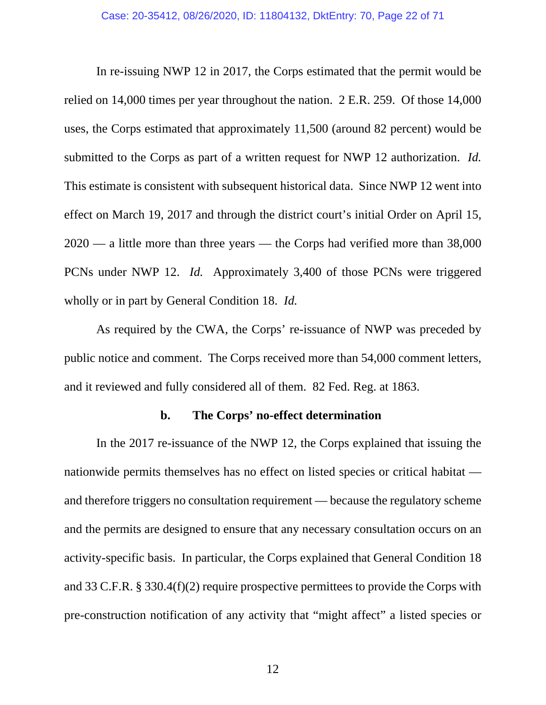In re-issuing NWP 12 in 2017, the Corps estimated that the permit would be relied on 14,000 times per year throughout the nation. 2 E.R. 259. Of those 14,000 uses, the Corps estimated that approximately 11,500 (around 82 percent) would be submitted to the Corps as part of a written request for NWP 12 authorization. *Id.* This estimate is consistent with subsequent historical data. Since NWP 12 went into effect on March 19, 2017 and through the district court's initial Order on April 15, 2020 — a little more than three years — the Corps had verified more than 38,000 PCNs under NWP 12. *Id.* Approximately 3,400 of those PCNs were triggered wholly or in part by General Condition 18. *Id.*

 As required by the CWA, the Corps' re-issuance of NWP was preceded by public notice and comment. The Corps received more than 54,000 comment letters, and it reviewed and fully considered all of them. 82 Fed. Reg. at 1863.

## **b. The Corps' no-effect determination**

 In the 2017 re-issuance of the NWP 12, the Corps explained that issuing the nationwide permits themselves has no effect on listed species or critical habitat and therefore triggers no consultation requirement — because the regulatory scheme and the permits are designed to ensure that any necessary consultation occurs on an activity-specific basis. In particular, the Corps explained that General Condition 18 and 33 C.F.R. § 330.4(f)(2) require prospective permittees to provide the Corps with pre-construction notification of any activity that "might affect" a listed species or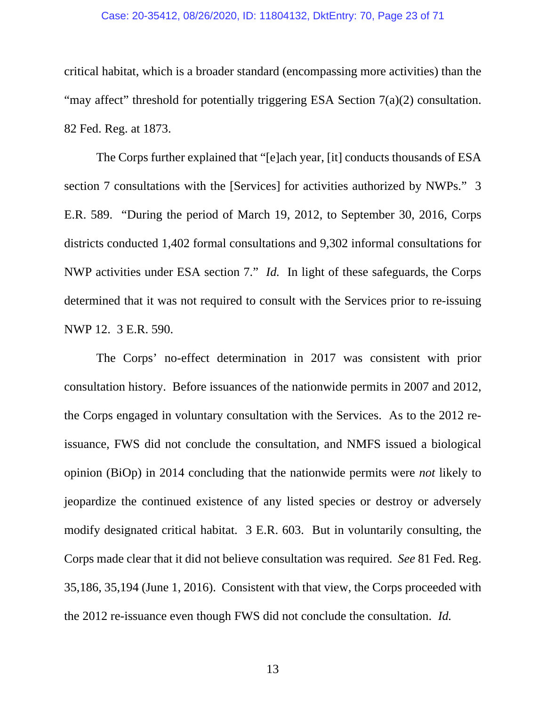#### Case: 20-35412, 08/26/2020, ID: 11804132, DktEntry: 70, Page 23 of 71

critical habitat, which is a broader standard (encompassing more activities) than the "may affect" threshold for potentially triggering ESA Section 7(a)(2) consultation. 82 Fed. Reg. at 1873.

The Corps further explained that "[e]ach year, [it] conducts thousands of ESA section 7 consultations with the [Services] for activities authorized by NWPs." 3 E.R. 589. "During the period of March 19, 2012, to September 30, 2016, Corps districts conducted 1,402 formal consultations and 9,302 informal consultations for NWP activities under ESA section 7." *Id.* In light of these safeguards, the Corps determined that it was not required to consult with the Services prior to re-issuing NWP 12. 3 E.R. 590.

The Corps' no-effect determination in 2017 was consistent with prior consultation history. Before issuances of the nationwide permits in 2007 and 2012, the Corps engaged in voluntary consultation with the Services. As to the 2012 reissuance, FWS did not conclude the consultation, and NMFS issued a biological opinion (BiOp) in 2014 concluding that the nationwide permits were *not* likely to jeopardize the continued existence of any listed species or destroy or adversely modify designated critical habitat. 3 E.R. 603. But in voluntarily consulting, the Corps made clear that it did not believe consultation was required. *See* 81 Fed. Reg. 35,186, 35,194 (June 1, 2016). Consistent with that view, the Corps proceeded with the 2012 re-issuance even though FWS did not conclude the consultation. *Id.*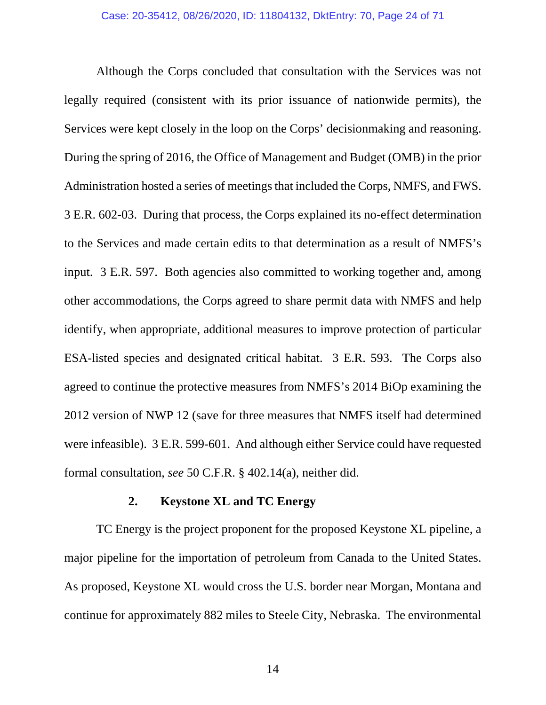Although the Corps concluded that consultation with the Services was not legally required (consistent with its prior issuance of nationwide permits), the Services were kept closely in the loop on the Corps' decisionmaking and reasoning. During the spring of 2016, the Office of Management and Budget (OMB) in the prior Administration hosted a series of meetings that included the Corps, NMFS, and FWS. 3 E.R. 602-03. During that process, the Corps explained its no-effect determination to the Services and made certain edits to that determination as a result of NMFS's input. 3 E.R. 597. Both agencies also committed to working together and, among other accommodations, the Corps agreed to share permit data with NMFS and help identify, when appropriate, additional measures to improve protection of particular ESA-listed species and designated critical habitat. 3 E.R. 593. The Corps also agreed to continue the protective measures from NMFS's 2014 BiOp examining the 2012 version of NWP 12 (save for three measures that NMFS itself had determined were infeasible). 3 E.R. 599-601. And although either Service could have requested formal consultation, *see* 50 C.F.R. § 402.14(a), neither did.

## **2. Keystone XL and TC Energy**

 TC Energy is the project proponent for the proposed Keystone XL pipeline, a major pipeline for the importation of petroleum from Canada to the United States. As proposed, Keystone XL would cross the U.S. border near Morgan, Montana and continue for approximately 882 miles to Steele City, Nebraska. The environmental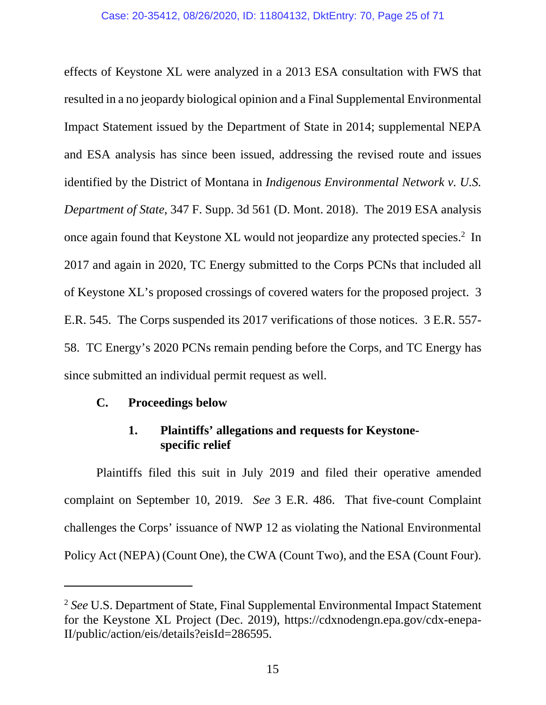effects of Keystone XL were analyzed in a 2013 ESA consultation with FWS that resulted in a no jeopardy biological opinion and a Final Supplemental Environmental Impact Statement issued by the Department of State in 2014; supplemental NEPA and ESA analysis has since been issued, addressing the revised route and issues identified by the District of Montana in *Indigenous Environmental Network v. U.S. Department of State*, 347 F. Supp. 3d 561 (D. Mont. 2018). The 2019 ESA analysis once again found that Keystone XL would not jeopardize any protected species.<sup>2</sup> In 2017 and again in 2020, TC Energy submitted to the Corps PCNs that included all of Keystone XL's proposed crossings of covered waters for the proposed project. 3 E.R. 545. The Corps suspended its 2017 verifications of those notices. 3 E.R. 557- 58. TC Energy's 2020 PCNs remain pending before the Corps, and TC Energy has since submitted an individual permit request as well.

## **C. Proceedings below**

-

# **1. Plaintiffs' allegations and requests for Keystonespecific relief**

 Plaintiffs filed this suit in July 2019 and filed their operative amended complaint on September 10, 2019. *See* 3 E.R. 486. That five-count Complaint challenges the Corps' issuance of NWP 12 as violating the National Environmental Policy Act (NEPA) (Count One), the CWA (Count Two), and the ESA (Count Four).

<sup>2</sup> *See* U.S. Department of State, Final Supplemental Environmental Impact Statement for the Keystone XL Project (Dec. 2019), https://cdxnodengn.epa.gov/cdx-enepa-II/public/action/eis/details?eisId=286595.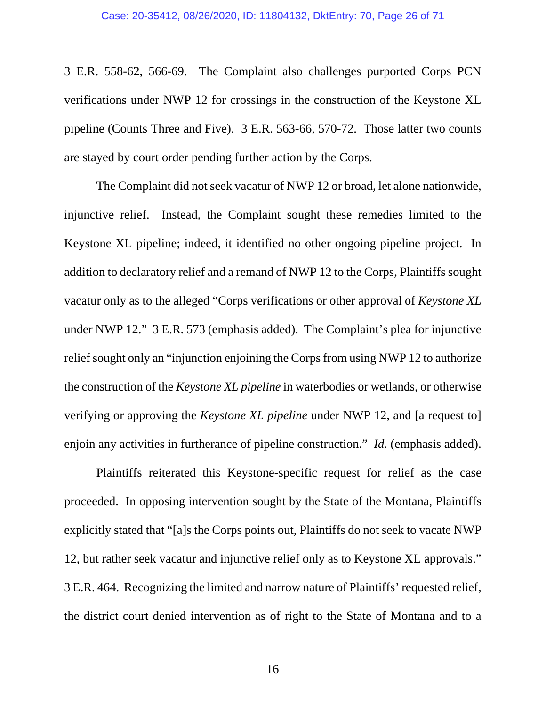3 E.R. 558-62, 566-69. The Complaint also challenges purported Corps PCN verifications under NWP 12 for crossings in the construction of the Keystone XL pipeline (Counts Three and Five). 3 E.R. 563-66, 570-72. Those latter two counts are stayed by court order pending further action by the Corps.

 The Complaint did not seek vacatur of NWP 12 or broad, let alone nationwide, injunctive relief. Instead, the Complaint sought these remedies limited to the Keystone XL pipeline; indeed, it identified no other ongoing pipeline project. In addition to declaratory relief and a remand of NWP 12 to the Corps, Plaintiffs sought vacatur only as to the alleged "Corps verifications or other approval of *Keystone XL* under NWP 12." 3 E.R. 573 (emphasis added). The Complaint's plea for injunctive relief sought only an "injunction enjoining the Corps from using NWP 12 to authorize the construction of the *Keystone XL pipeline* in waterbodies or wetlands, or otherwise verifying or approving the *Keystone XL pipeline* under NWP 12, and [a request to] enjoin any activities in furtherance of pipeline construction." *Id.* (emphasis added).

 Plaintiffs reiterated this Keystone-specific request for relief as the case proceeded. In opposing intervention sought by the State of the Montana, Plaintiffs explicitly stated that "[a]s the Corps points out, Plaintiffs do not seek to vacate NWP 12, but rather seek vacatur and injunctive relief only as to Keystone XL approvals." 3 E.R. 464. Recognizing the limited and narrow nature of Plaintiffs' requested relief, the district court denied intervention as of right to the State of Montana and to a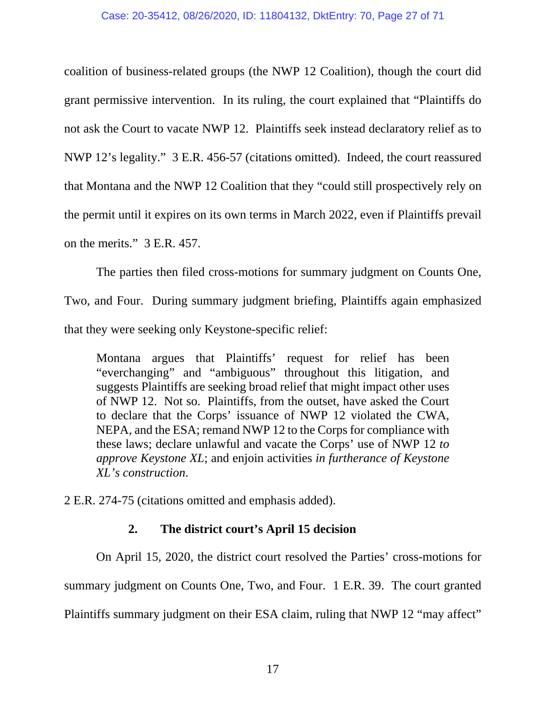coalition of business-related groups (the NWP 12 Coalition), though the court did grant permissive intervention. In its ruling, the court explained that "Plaintiffs do not ask the Court to vacate NWP 12. Plaintiffs seek instead declaratory relief as to NWP 12's legality." 3 E.R. 456-57 (citations omitted). Indeed, the court reassured that Montana and the NWP 12 Coalition that they "could still prospectively rely on the permit until it expires on its own terms in March 2022, even if Plaintiffs prevail on the merits." 3 E.R. 457.

 The parties then filed cross-motions for summary judgment on Counts One, Two, and Four. During summary judgment briefing, Plaintiffs again emphasized that they were seeking only Keystone-specific relief:

Montana argues that Plaintiffs' request for relief has been "everchanging" and "ambiguous" throughout this litigation, and suggests Plaintiffs are seeking broad relief that might impact other uses of NWP 12. Not so. Plaintiffs, from the outset, have asked the Court to declare that the Corps' issuance of NWP 12 violated the CWA, NEPA, and the ESA; remand NWP 12 to the Corps for compliance with these laws; declare unlawful and vacate the Corps' use of NWP 12 *to approve Keystone XL*; and enjoin activities *in furtherance of Keystone XL's construction*.

2 E.R. 274-75 (citations omitted and emphasis added).

# **2. The district court's April 15 decision**

 On April 15, 2020, the district court resolved the Parties' cross-motions for summary judgment on Counts One, Two, and Four. 1 E.R. 39. The court granted Plaintiffs summary judgment on their ESA claim, ruling that NWP 12 "may affect"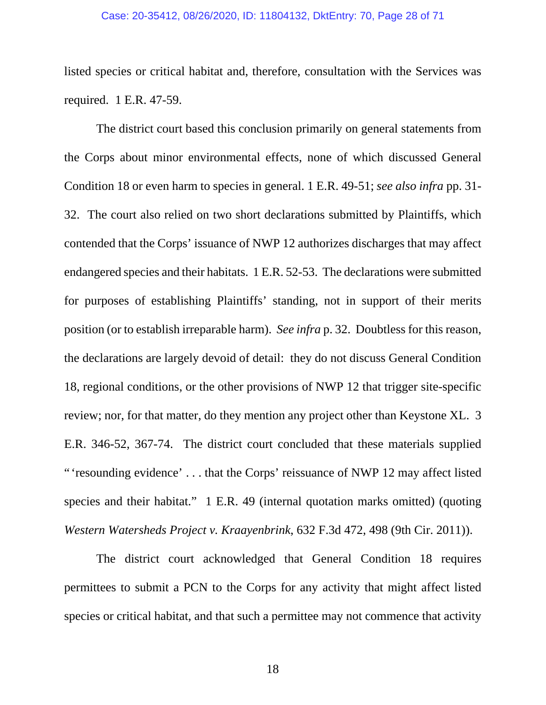## Case: 20-35412, 08/26/2020, ID: 11804132, DktEntry: 70, Page 28 of 71

listed species or critical habitat and, therefore, consultation with the Services was required. 1 E.R. 47-59.

The district court based this conclusion primarily on general statements from the Corps about minor environmental effects, none of which discussed General Condition 18 or even harm to species in general. 1 E.R. 49-51; *see also infra* pp. 31- 32. The court also relied on two short declarations submitted by Plaintiffs, which contended that the Corps' issuance of NWP 12 authorizes discharges that may affect endangered species and their habitats. 1 E.R. 52-53. The declarations were submitted for purposes of establishing Plaintiffs' standing, not in support of their merits position (or to establish irreparable harm). *See infra* p. 32. Doubtless for this reason, the declarations are largely devoid of detail: they do not discuss General Condition 18, regional conditions, or the other provisions of NWP 12 that trigger site-specific review; nor, for that matter, do they mention any project other than Keystone XL. 3 E.R. 346-52, 367-74. The district court concluded that these materials supplied " 'resounding evidence' . . . that the Corps' reissuance of NWP 12 may affect listed species and their habitat." 1 E.R. 49 (internal quotation marks omitted) (quoting *Western Watersheds Project v. Kraayenbrink*, 632 F.3d 472, 498 (9th Cir. 2011)).

The district court acknowledged that General Condition 18 requires permittees to submit a PCN to the Corps for any activity that might affect listed species or critical habitat, and that such a permittee may not commence that activity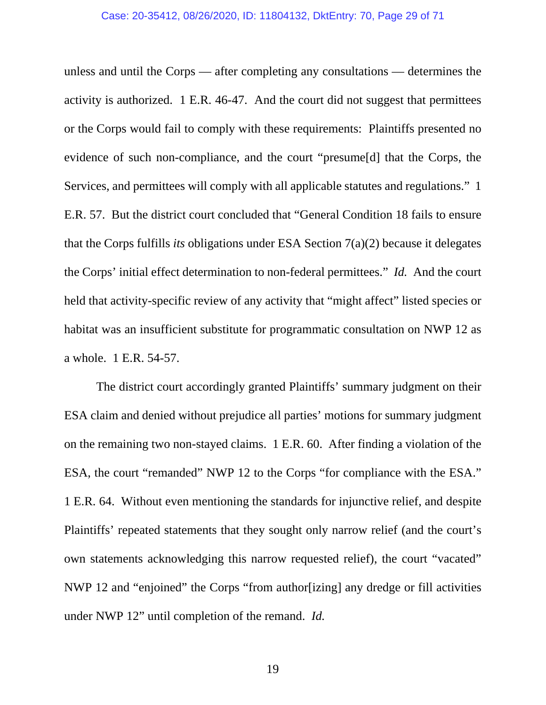unless and until the Corps — after completing any consultations — determines the activity is authorized. 1 E.R. 46-47. And the court did not suggest that permittees or the Corps would fail to comply with these requirements: Plaintiffs presented no evidence of such non-compliance, and the court "presume[d] that the Corps, the Services, and permittees will comply with all applicable statutes and regulations." 1 E.R. 57. But the district court concluded that "General Condition 18 fails to ensure that the Corps fulfills *its* obligations under ESA Section 7(a)(2) because it delegates the Corps' initial effect determination to non-federal permittees." *Id.* And the court held that activity-specific review of any activity that "might affect" listed species or habitat was an insufficient substitute for programmatic consultation on NWP 12 as a whole. 1 E.R. 54-57.

The district court accordingly granted Plaintiffs' summary judgment on their ESA claim and denied without prejudice all parties' motions for summary judgment on the remaining two non-stayed claims. 1 E.R. 60. After finding a violation of the ESA, the court "remanded" NWP 12 to the Corps "for compliance with the ESA." 1 E.R. 64. Without even mentioning the standards for injunctive relief, and despite Plaintiffs' repeated statements that they sought only narrow relief (and the court's own statements acknowledging this narrow requested relief), the court "vacated" NWP 12 and "enjoined" the Corps "from author[izing] any dredge or fill activities under NWP 12" until completion of the remand. *Id.*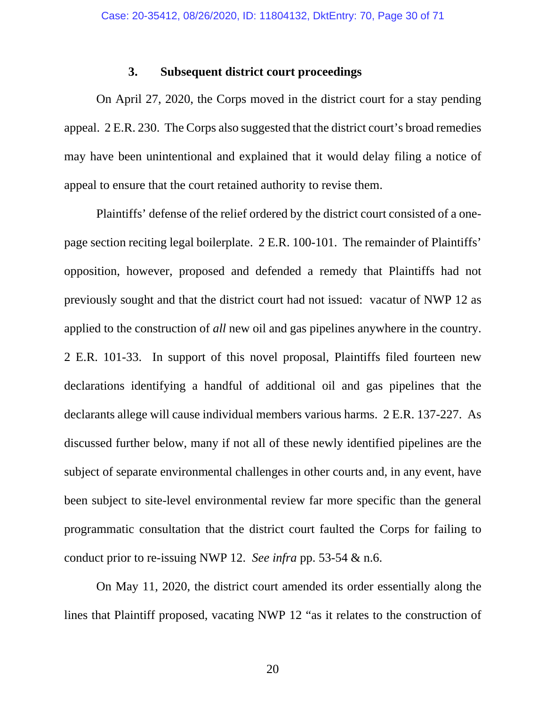## **3. Subsequent district court proceedings**

 On April 27, 2020, the Corps moved in the district court for a stay pending appeal. 2 E.R. 230. The Corps also suggested that the district court's broad remedies may have been unintentional and explained that it would delay filing a notice of appeal to ensure that the court retained authority to revise them.

Plaintiffs' defense of the relief ordered by the district court consisted of a onepage section reciting legal boilerplate. 2 E.R. 100-101. The remainder of Plaintiffs' opposition, however, proposed and defended a remedy that Plaintiffs had not previously sought and that the district court had not issued: vacatur of NWP 12 as applied to the construction of *all* new oil and gas pipelines anywhere in the country. 2 E.R. 101-33. In support of this novel proposal, Plaintiffs filed fourteen new declarations identifying a handful of additional oil and gas pipelines that the declarants allege will cause individual members various harms. 2 E.R. 137-227. As discussed further below, many if not all of these newly identified pipelines are the subject of separate environmental challenges in other courts and, in any event, have been subject to site-level environmental review far more specific than the general programmatic consultation that the district court faulted the Corps for failing to conduct prior to re-issuing NWP 12. *See infra* pp. 53-54 & n.6.

On May 11, 2020, the district court amended its order essentially along the lines that Plaintiff proposed, vacating NWP 12 "as it relates to the construction of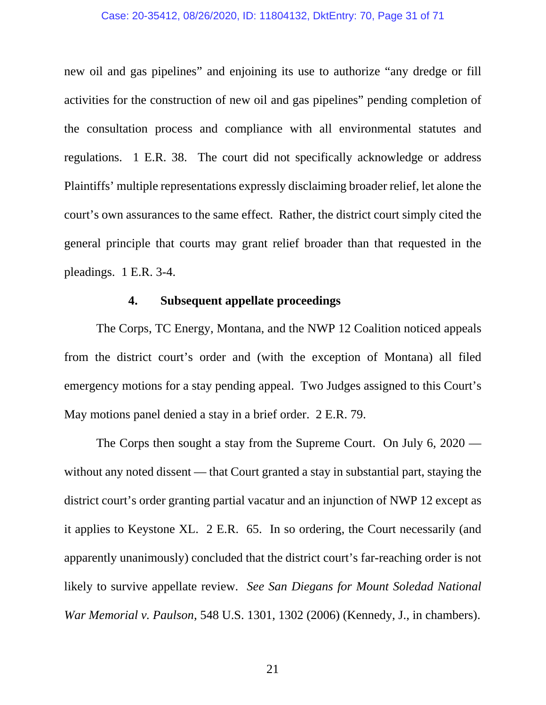## Case: 20-35412, 08/26/2020, ID: 11804132, DktEntry: 70, Page 31 of 71

new oil and gas pipelines" and enjoining its use to authorize "any dredge or fill activities for the construction of new oil and gas pipelines" pending completion of the consultation process and compliance with all environmental statutes and regulations. 1 E.R. 38. The court did not specifically acknowledge or address Plaintiffs' multiple representations expressly disclaiming broader relief, let alone the court's own assurances to the same effect. Rather, the district court simply cited the general principle that courts may grant relief broader than that requested in the pleadings. 1 E.R. 3-4.

## **4. Subsequent appellate proceedings**

The Corps, TC Energy, Montana, and the NWP 12 Coalition noticed appeals from the district court's order and (with the exception of Montana) all filed emergency motions for a stay pending appeal. Two Judges assigned to this Court's May motions panel denied a stay in a brief order. 2 E.R. 79.

The Corps then sought a stay from the Supreme Court. On July 6, 2020 without any noted dissent — that Court granted a stay in substantial part, staying the district court's order granting partial vacatur and an injunction of NWP 12 except as it applies to Keystone XL. 2 E.R. 65. In so ordering, the Court necessarily (and apparently unanimously) concluded that the district court's far-reaching order is not likely to survive appellate review. *See San Diegans for Mount Soledad National War Memorial v. Paulson*, 548 U.S. 1301, 1302 (2006) (Kennedy, J., in chambers).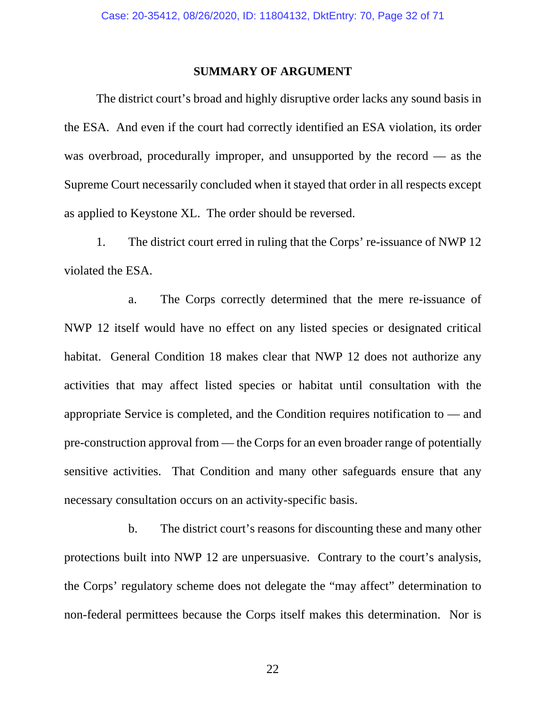## **SUMMARY OF ARGUMENT**

 The district court's broad and highly disruptive order lacks any sound basis in the ESA. And even if the court had correctly identified an ESA violation, its order was overbroad, procedurally improper, and unsupported by the record — as the Supreme Court necessarily concluded when it stayed that order in all respects except as applied to Keystone XL. The order should be reversed.

 1. The district court erred in ruling that the Corps' re-issuance of NWP 12 violated the ESA.

 a. The Corps correctly determined that the mere re-issuance of NWP 12 itself would have no effect on any listed species or designated critical habitat. General Condition 18 makes clear that NWP 12 does not authorize any activities that may affect listed species or habitat until consultation with the appropriate Service is completed, and the Condition requires notification to — and pre-construction approval from — the Corps for an even broader range of potentially sensitive activities. That Condition and many other safeguards ensure that any necessary consultation occurs on an activity-specific basis.

 b. The district court's reasons for discounting these and many other protections built into NWP 12 are unpersuasive. Contrary to the court's analysis, the Corps' regulatory scheme does not delegate the "may affect" determination to non-federal permittees because the Corps itself makes this determination. Nor is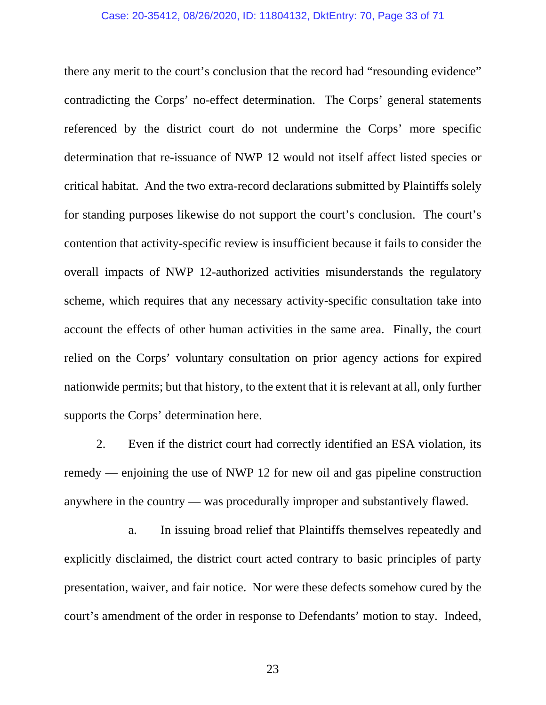## Case: 20-35412, 08/26/2020, ID: 11804132, DktEntry: 70, Page 33 of 71

there any merit to the court's conclusion that the record had "resounding evidence" contradicting the Corps' no-effect determination. The Corps' general statements referenced by the district court do not undermine the Corps' more specific determination that re-issuance of NWP 12 would not itself affect listed species or critical habitat. And the two extra-record declarations submitted by Plaintiffs solely for standing purposes likewise do not support the court's conclusion. The court's contention that activity-specific review is insufficient because it fails to consider the overall impacts of NWP 12-authorized activities misunderstands the regulatory scheme, which requires that any necessary activity-specific consultation take into account the effects of other human activities in the same area. Finally, the court relied on the Corps' voluntary consultation on prior agency actions for expired nationwide permits; but that history, to the extent that it is relevant at all, only further supports the Corps' determination here.

 2. Even if the district court had correctly identified an ESA violation, its remedy — enjoining the use of NWP 12 for new oil and gas pipeline construction anywhere in the country — was procedurally improper and substantively flawed.

 a. In issuing broad relief that Plaintiffs themselves repeatedly and explicitly disclaimed, the district court acted contrary to basic principles of party presentation, waiver, and fair notice. Nor were these defects somehow cured by the court's amendment of the order in response to Defendants' motion to stay. Indeed,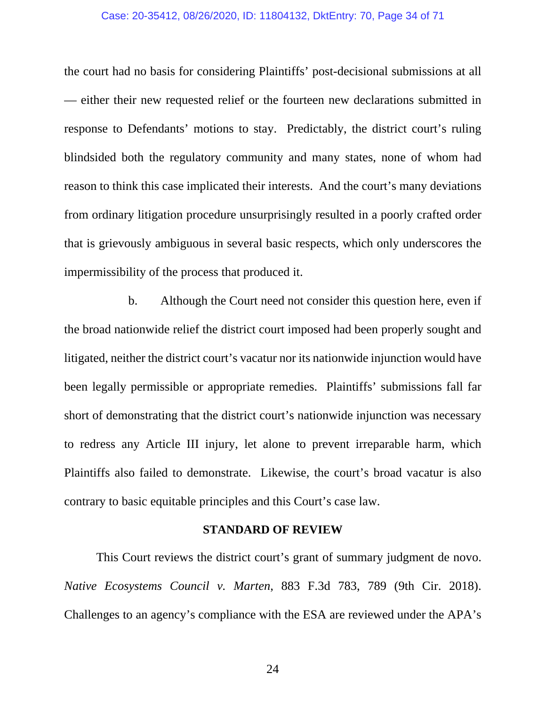### Case: 20-35412, 08/26/2020, ID: 11804132, DktEntry: 70, Page 34 of 71

the court had no basis for considering Plaintiffs' post-decisional submissions at all — either their new requested relief or the fourteen new declarations submitted in response to Defendants' motions to stay. Predictably, the district court's ruling blindsided both the regulatory community and many states, none of whom had reason to think this case implicated their interests. And the court's many deviations from ordinary litigation procedure unsurprisingly resulted in a poorly crafted order that is grievously ambiguous in several basic respects, which only underscores the impermissibility of the process that produced it.

 b. Although the Court need not consider this question here, even if the broad nationwide relief the district court imposed had been properly sought and litigated, neither the district court's vacatur nor its nationwide injunction would have been legally permissible or appropriate remedies. Plaintiffs' submissions fall far short of demonstrating that the district court's nationwide injunction was necessary to redress any Article III injury, let alone to prevent irreparable harm, which Plaintiffs also failed to demonstrate. Likewise, the court's broad vacatur is also contrary to basic equitable principles and this Court's case law.

## **STANDARD OF REVIEW**

 This Court reviews the district court's grant of summary judgment de novo. *Native Ecosystems Council v. Marten*, 883 F.3d 783, 789 (9th Cir. 2018). Challenges to an agency's compliance with the ESA are reviewed under the APA's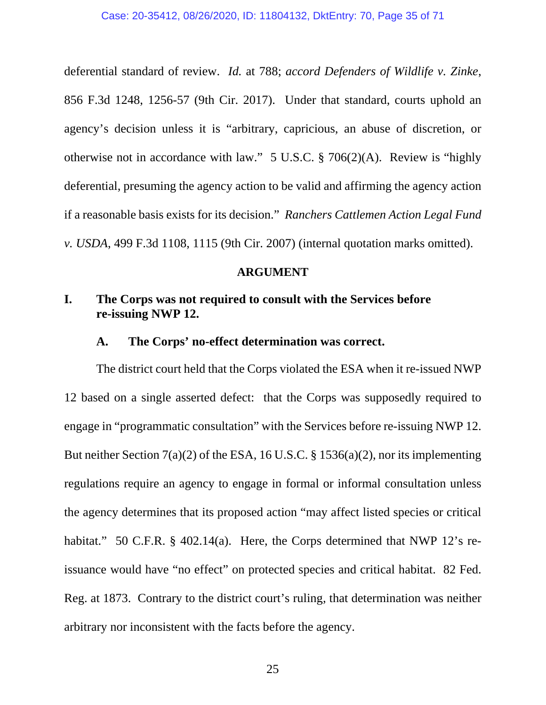deferential standard of review. *Id.* at 788; *accord Defenders of Wildlife v. Zinke*, 856 F.3d 1248, 1256-57 (9th Cir. 2017). Under that standard, courts uphold an agency's decision unless it is "arbitrary, capricious, an abuse of discretion, or otherwise not in accordance with law." 5 U.S.C. § 706(2)(A). Review is "highly deferential, presuming the agency action to be valid and affirming the agency action if a reasonable basis exists for its decision." *Ranchers Cattlemen Action Legal Fund v. USDA*, 499 F.3d 1108, 1115 (9th Cir. 2007) (internal quotation marks omitted).

## **ARGUMENT**

# **I. The Corps was not required to consult with the Services before re-issuing NWP 12.**

## **A. The Corps' no-effect determination was correct.**

The district court held that the Corps violated the ESA when it re-issued NWP 12 based on a single asserted defect: that the Corps was supposedly required to engage in "programmatic consultation" with the Services before re-issuing NWP 12. But neither Section 7(a)(2) of the ESA, 16 U.S.C. § 1536(a)(2), nor its implementing regulations require an agency to engage in formal or informal consultation unless the agency determines that its proposed action "may affect listed species or critical habitat." 50 C.F.R. § 402.14(a). Here, the Corps determined that NWP 12's reissuance would have "no effect" on protected species and critical habitat. 82 Fed. Reg. at 1873. Contrary to the district court's ruling, that determination was neither arbitrary nor inconsistent with the facts before the agency.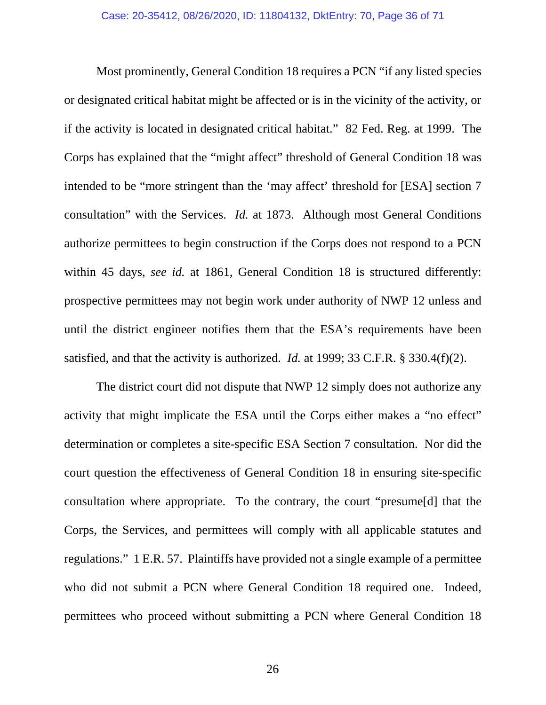Most prominently, General Condition 18 requires a PCN "if any listed species or designated critical habitat might be affected or is in the vicinity of the activity, or if the activity is located in designated critical habitat." 82 Fed. Reg. at 1999. The Corps has explained that the "might affect" threshold of General Condition 18 was intended to be "more stringent than the 'may affect' threshold for [ESA] section 7 consultation" with the Services. *Id.* at 1873. Although most General Conditions authorize permittees to begin construction if the Corps does not respond to a PCN within 45 days, *see id.* at 1861, General Condition 18 is structured differently: prospective permittees may not begin work under authority of NWP 12 unless and until the district engineer notifies them that the ESA's requirements have been satisfied, and that the activity is authorized. *Id.* at 1999; 33 C.F.R. § 330.4(f)(2).

 The district court did not dispute that NWP 12 simply does not authorize any activity that might implicate the ESA until the Corps either makes a "no effect" determination or completes a site-specific ESA Section 7 consultation. Nor did the court question the effectiveness of General Condition 18 in ensuring site-specific consultation where appropriate. To the contrary, the court "presume[d] that the Corps, the Services, and permittees will comply with all applicable statutes and regulations." 1 E.R. 57. Plaintiffs have provided not a single example of a permittee who did not submit a PCN where General Condition 18 required one. Indeed, permittees who proceed without submitting a PCN where General Condition 18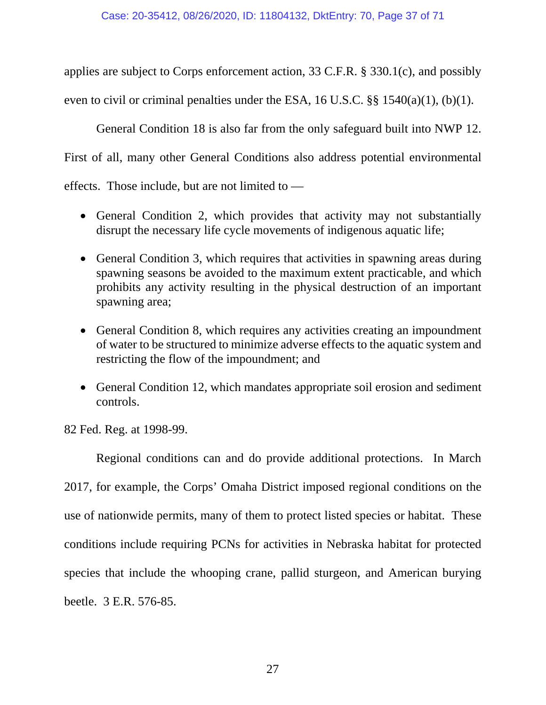applies are subject to Corps enforcement action, 33 C.F.R. § 330.1(c), and possibly even to civil or criminal penalties under the ESA, 16 U.S.C. §§ 1540(a)(1), (b)(1).

 General Condition 18 is also far from the only safeguard built into NWP 12. First of all, many other General Conditions also address potential environmental effects. Those include, but are not limited to —

- General Condition 2, which provides that activity may not substantially disrupt the necessary life cycle movements of indigenous aquatic life;
- General Condition 3, which requires that activities in spawning areas during spawning seasons be avoided to the maximum extent practicable, and which prohibits any activity resulting in the physical destruction of an important spawning area;
- General Condition 8, which requires any activities creating an impoundment of water to be structured to minimize adverse effects to the aquatic system and restricting the flow of the impoundment; and
- General Condition 12, which mandates appropriate soil erosion and sediment controls.

82 Fed. Reg. at 1998-99.

Regional conditions can and do provide additional protections. In March 2017, for example, the Corps' Omaha District imposed regional conditions on the use of nationwide permits, many of them to protect listed species or habitat. These conditions include requiring PCNs for activities in Nebraska habitat for protected species that include the whooping crane, pallid sturgeon, and American burying beetle. 3 E.R. 576-85.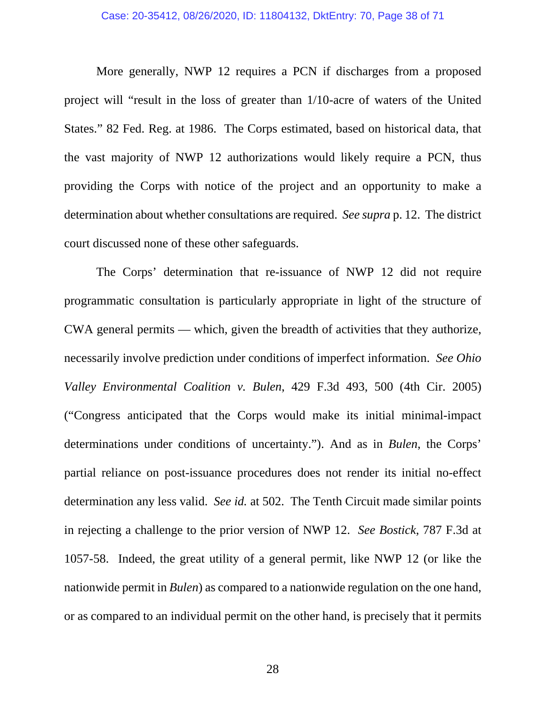## Case: 20-35412, 08/26/2020, ID: 11804132, DktEntry: 70, Page 38 of 71

More generally, NWP 12 requires a PCN if discharges from a proposed project will "result in the loss of greater than 1/10-acre of waters of the United States." 82 Fed. Reg. at 1986. The Corps estimated, based on historical data, that the vast majority of NWP 12 authorizations would likely require a PCN, thus providing the Corps with notice of the project and an opportunity to make a determination about whether consultations are required. *See supra* p. 12. The district court discussed none of these other safeguards.

The Corps' determination that re-issuance of NWP 12 did not require programmatic consultation is particularly appropriate in light of the structure of CWA general permits — which, given the breadth of activities that they authorize, necessarily involve prediction under conditions of imperfect information. *See Ohio Valley Environmental Coalition v. Bulen*, 429 F.3d 493, 500 (4th Cir. 2005) ("Congress anticipated that the Corps would make its initial minimal-impact determinations under conditions of uncertainty."). And as in *Bulen*, the Corps' partial reliance on post-issuance procedures does not render its initial no-effect determination any less valid. *See id.* at 502. The Tenth Circuit made similar points in rejecting a challenge to the prior version of NWP 12. *See Bostick*, 787 F.3d at 1057-58. Indeed, the great utility of a general permit, like NWP 12 (or like the nationwide permit in *Bulen*) as compared to a nationwide regulation on the one hand, or as compared to an individual permit on the other hand, is precisely that it permits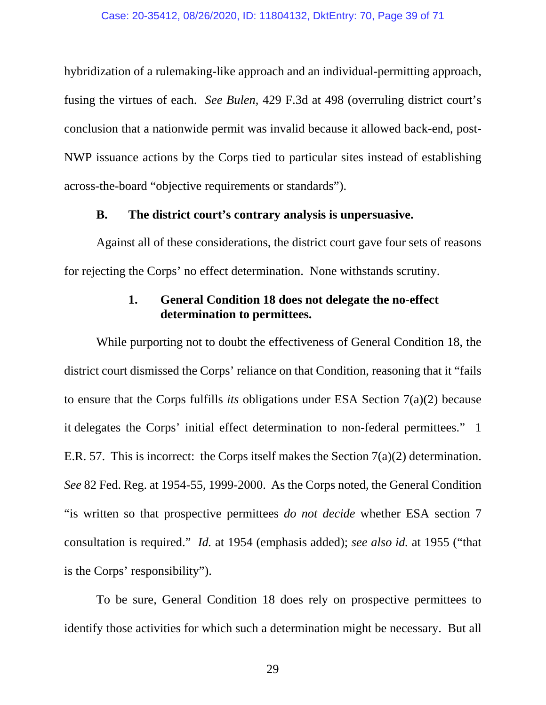hybridization of a rulemaking-like approach and an individual-permitting approach, fusing the virtues of each. *See Bulen*, 429 F.3d at 498 (overruling district court's conclusion that a nationwide permit was invalid because it allowed back-end, post-NWP issuance actions by the Corps tied to particular sites instead of establishing across-the-board "objective requirements or standards").

## **B. The district court's contrary analysis is unpersuasive.**

Against all of these considerations, the district court gave four sets of reasons for rejecting the Corps' no effect determination. None withstands scrutiny.

# **1. General Condition 18 does not delegate the no-effect determination to permittees.**

While purporting not to doubt the effectiveness of General Condition 18, the district court dismissed the Corps' reliance on that Condition, reasoning that it "fails to ensure that the Corps fulfills *its* obligations under ESA Section 7(a)(2) because it delegates the Corps' initial effect determination to non-federal permittees." 1 E.R. 57. This is incorrect: the Corps itself makes the Section 7(a)(2) determination. *See* 82 Fed. Reg. at 1954-55, 1999-2000. As the Corps noted, the General Condition "is written so that prospective permittees *do not decide* whether ESA section 7 consultation is required." *Id.* at 1954 (emphasis added); *see also id.* at 1955 ("that is the Corps' responsibility").

To be sure, General Condition 18 does rely on prospective permittees to identify those activities for which such a determination might be necessary. But all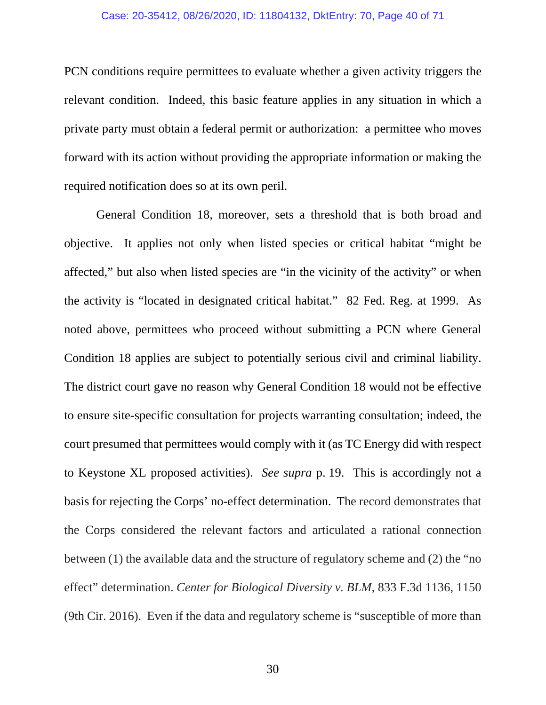### Case: 20-35412, 08/26/2020, ID: 11804132, DktEntry: 70, Page 40 of 71

PCN conditions require permittees to evaluate whether a given activity triggers the relevant condition. Indeed, this basic feature applies in any situation in which a private party must obtain a federal permit or authorization: a permittee who moves forward with its action without providing the appropriate information or making the required notification does so at its own peril.

 General Condition 18, moreover, sets a threshold that is both broad and objective. It applies not only when listed species or critical habitat "might be affected," but also when listed species are "in the vicinity of the activity" or when the activity is "located in designated critical habitat." 82 Fed. Reg. at 1999. As noted above, permittees who proceed without submitting a PCN where General Condition 18 applies are subject to potentially serious civil and criminal liability. The district court gave no reason why General Condition 18 would not be effective to ensure site-specific consultation for projects warranting consultation; indeed, the court presumed that permittees would comply with it (as TC Energy did with respect to Keystone XL proposed activities). *See supra* p. 19. This is accordingly not a basis for rejecting the Corps' no-effect determination. The record demonstrates that the Corps considered the relevant factors and articulated a rational connection between (1) the available data and the structure of regulatory scheme and (2) the "no effect" determination. *Center for Biological Diversity v. BLM*, 833 F.3d 1136, 1150 (9th Cir. 2016). Even if the data and regulatory scheme is "susceptible of more than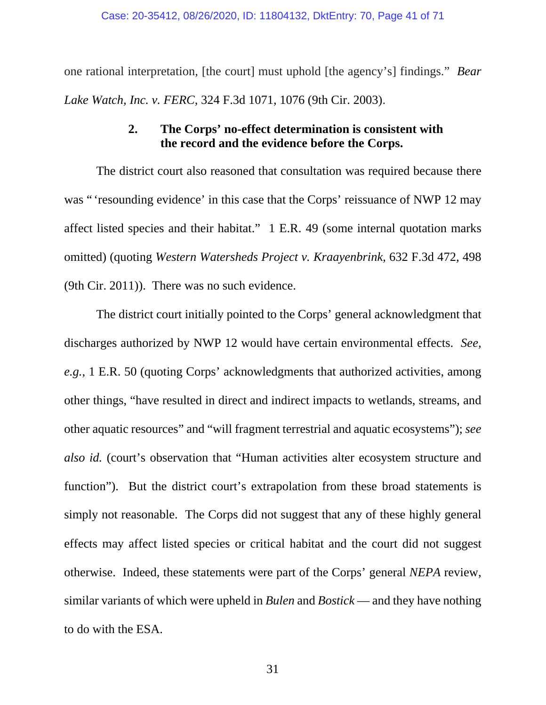one rational interpretation, [the court] must uphold [the agency's] findings." *Bear Lake Watch, Inc. v. FERC*, 324 F.3d 1071, 1076 (9th Cir. 2003).

# **2. The Corps' no-effect determination is consistent with the record and the evidence before the Corps.**

The district court also reasoned that consultation was required because there was "'resounding evidence' in this case that the Corps' reissuance of NWP 12 may affect listed species and their habitat." 1 E.R. 49 (some internal quotation marks omitted) (quoting *Western Watersheds Project v. Kraayenbrink*, 632 F.3d 472, 498 (9th Cir. 2011)). There was no such evidence.

The district court initially pointed to the Corps' general acknowledgment that discharges authorized by NWP 12 would have certain environmental effects. *See, e.g.*, 1 E.R. 50 (quoting Corps' acknowledgments that authorized activities, among other things, "have resulted in direct and indirect impacts to wetlands, streams, and other aquatic resources" and "will fragment terrestrial and aquatic ecosystems"); *see also id.* (court's observation that "Human activities alter ecosystem structure and function"). But the district court's extrapolation from these broad statements is simply not reasonable. The Corps did not suggest that any of these highly general effects may affect listed species or critical habitat and the court did not suggest otherwise. Indeed, these statements were part of the Corps' general *NEPA* review, similar variants of which were upheld in *Bulen* and *Bostick* — and they have nothing to do with the ESA.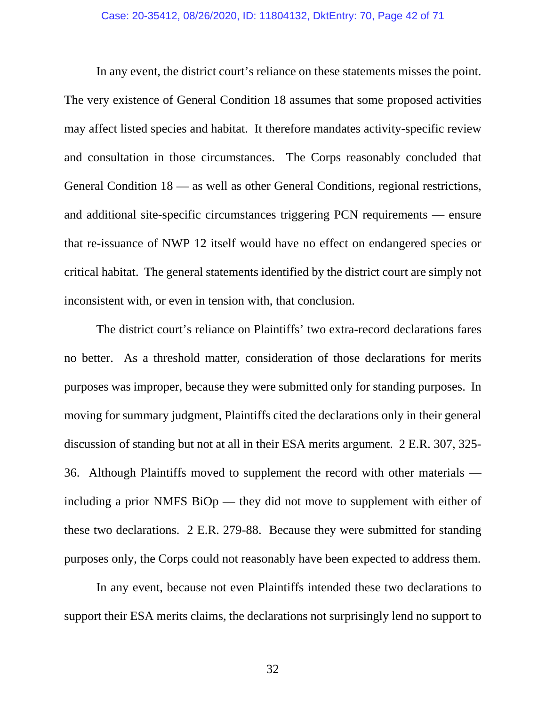In any event, the district court's reliance on these statements misses the point. The very existence of General Condition 18 assumes that some proposed activities may affect listed species and habitat. It therefore mandates activity-specific review and consultation in those circumstances. The Corps reasonably concluded that General Condition 18 — as well as other General Conditions, regional restrictions, and additional site-specific circumstances triggering PCN requirements — ensure that re-issuance of NWP 12 itself would have no effect on endangered species or critical habitat. The general statements identified by the district court are simply not inconsistent with, or even in tension with, that conclusion.

 The district court's reliance on Plaintiffs' two extra-record declarations fares no better. As a threshold matter, consideration of those declarations for merits purposes was improper, because they were submitted only for standing purposes. In moving for summary judgment, Plaintiffs cited the declarations only in their general discussion of standing but not at all in their ESA merits argument. 2 E.R. 307, 325- 36. Although Plaintiffs moved to supplement the record with other materials including a prior NMFS BiOp — they did not move to supplement with either of these two declarations. 2 E.R. 279-88. Because they were submitted for standing purposes only, the Corps could not reasonably have been expected to address them.

In any event, because not even Plaintiffs intended these two declarations to support their ESA merits claims, the declarations not surprisingly lend no support to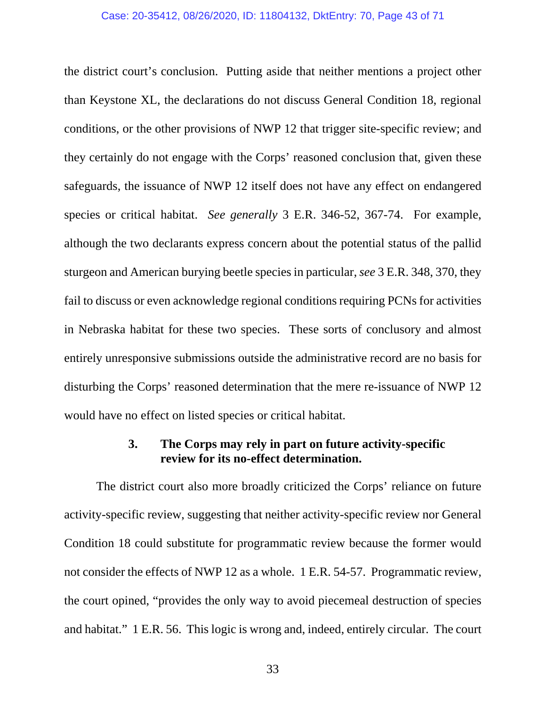#### Case: 20-35412, 08/26/2020, ID: 11804132, DktEntry: 70, Page 43 of 71

the district court's conclusion. Putting aside that neither mentions a project other than Keystone XL, the declarations do not discuss General Condition 18, regional conditions, or the other provisions of NWP 12 that trigger site-specific review; and they certainly do not engage with the Corps' reasoned conclusion that, given these safeguards, the issuance of NWP 12 itself does not have any effect on endangered species or critical habitat. *See generally* 3 E.R. 346-52, 367-74. For example, although the two declarants express concern about the potential status of the pallid sturgeon and American burying beetle species in particular, *see* 3 E.R. 348, 370, they fail to discuss or even acknowledge regional conditions requiring PCNs for activities in Nebraska habitat for these two species. These sorts of conclusory and almost entirely unresponsive submissions outside the administrative record are no basis for disturbing the Corps' reasoned determination that the mere re-issuance of NWP 12 would have no effect on listed species or critical habitat.

## **3. The Corps may rely in part on future activity-specific review for its no-effect determination.**

The district court also more broadly criticized the Corps' reliance on future activity-specific review, suggesting that neither activity-specific review nor General Condition 18 could substitute for programmatic review because the former would not consider the effects of NWP 12 as a whole. 1 E.R. 54-57. Programmatic review, the court opined, "provides the only way to avoid piecemeal destruction of species and habitat." 1 E.R. 56. This logic is wrong and, indeed, entirely circular. The court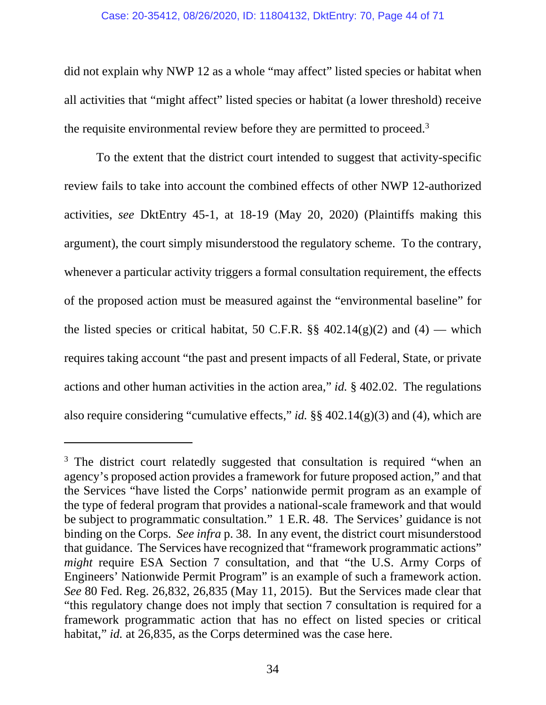## Case: 20-35412, 08/26/2020, ID: 11804132, DktEntry: 70, Page 44 of 71

did not explain why NWP 12 as a whole "may affect" listed species or habitat when all activities that "might affect" listed species or habitat (a lower threshold) receive the requisite environmental review before they are permitted to proceed.3

To the extent that the district court intended to suggest that activity-specific review fails to take into account the combined effects of other NWP 12-authorized activities, *see* DktEntry 45-1, at 18-19 (May 20, 2020) (Plaintiffs making this argument), the court simply misunderstood the regulatory scheme. To the contrary, whenever a particular activity triggers a formal consultation requirement, the effects of the proposed action must be measured against the "environmental baseline" for the listed species or critical habitat, 50 C.F.R.  $\S\S 402.14(g)(2)$  and  $(4)$  — which requires taking account "the past and present impacts of all Federal, State, or private actions and other human activities in the action area," *id.* § 402.02. The regulations also require considering "cumulative effects," *id.* §§ 402.14(g)(3) and (4), which are

-

<sup>&</sup>lt;sup>3</sup> The district court relatedly suggested that consultation is required "when an agency's proposed action provides a framework for future proposed action," and that the Services "have listed the Corps' nationwide permit program as an example of the type of federal program that provides a national-scale framework and that would be subject to programmatic consultation." 1 E.R. 48. The Services' guidance is not binding on the Corps. *See infra* p. 38. In any event, the district court misunderstood that guidance. The Services have recognized that "framework programmatic actions" *might* require ESA Section 7 consultation, and that "the U.S. Army Corps of Engineers' Nationwide Permit Program" is an example of such a framework action. *See* 80 Fed. Reg. 26,832, 26,835 (May 11, 2015). But the Services made clear that "this regulatory change does not imply that section 7 consultation is required for a framework programmatic action that has no effect on listed species or critical habitat," *id.* at 26,835, as the Corps determined was the case here.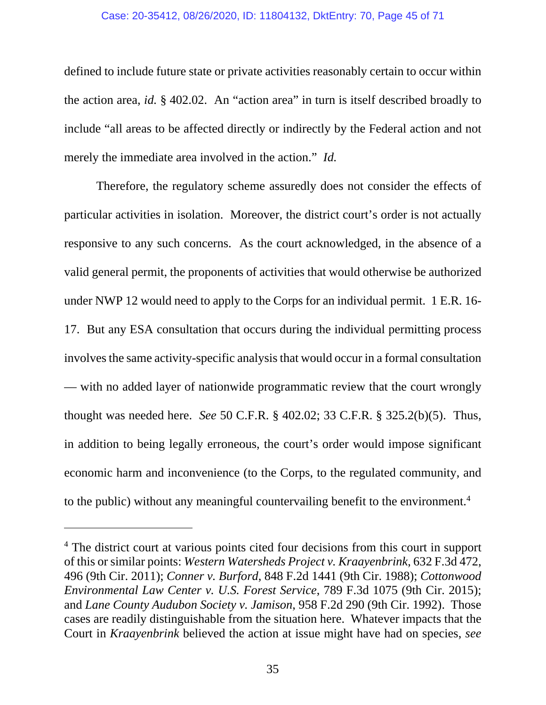## Case: 20-35412, 08/26/2020, ID: 11804132, DktEntry: 70, Page 45 of 71

defined to include future state or private activities reasonably certain to occur within the action area, *id.* § 402.02. An "action area" in turn is itself described broadly to include "all areas to be affected directly or indirectly by the Federal action and not merely the immediate area involved in the action." *Id.*

Therefore, the regulatory scheme assuredly does not consider the effects of particular activities in isolation. Moreover, the district court's order is not actually responsive to any such concerns. As the court acknowledged, in the absence of a valid general permit, the proponents of activities that would otherwise be authorized under NWP 12 would need to apply to the Corps for an individual permit. 1 E.R. 16- 17. But any ESA consultation that occurs during the individual permitting process involves the same activity-specific analysis that would occur in a formal consultation — with no added layer of nationwide programmatic review that the court wrongly thought was needed here. *See* 50 C.F.R. § 402.02; 33 C.F.R. § 325.2(b)(5). Thus, in addition to being legally erroneous, the court's order would impose significant economic harm and inconvenience (to the Corps, to the regulated community, and to the public) without any meaningful countervailing benefit to the environment.4

l

<sup>&</sup>lt;sup>4</sup> The district court at various points cited four decisions from this court in support of this or similar points: *Western Watersheds Project v. Kraayenbrink*, 632 F.3d 472, 496 (9th Cir. 2011); *Conner v. Burford*, 848 F.2d 1441 (9th Cir. 1988); *Cottonwood Environmental Law Center v. U.S. Forest Service*, 789 F.3d 1075 (9th Cir. 2015); and *Lane County Audubon Society v. Jamison*, 958 F.2d 290 (9th Cir. 1992). Those cases are readily distinguishable from the situation here. Whatever impacts that the Court in *Kraayenbrink* believed the action at issue might have had on species, *see*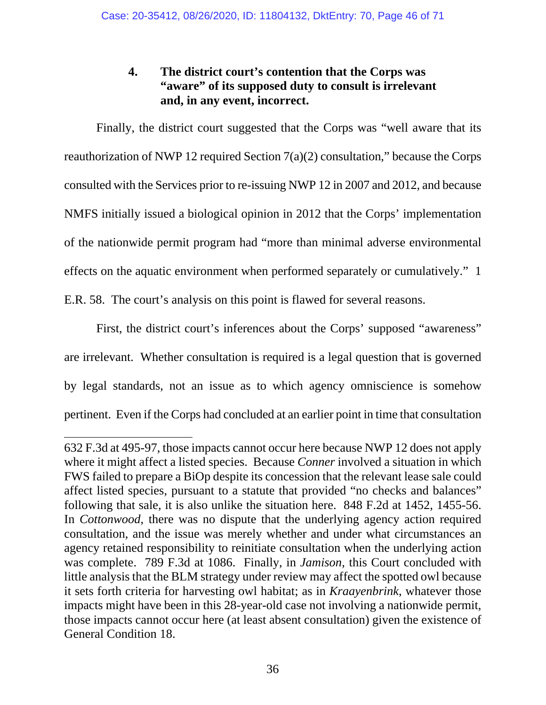# **4. The district court's contention that the Corps was "aware" of its supposed duty to consult is irrelevant and, in any event, incorrect.**

Finally, the district court suggested that the Corps was "well aware that its reauthorization of NWP 12 required Section 7(a)(2) consultation," because the Corps consulted with the Services prior to re-issuing NWP 12 in 2007 and 2012, and because NMFS initially issued a biological opinion in 2012 that the Corps' implementation of the nationwide permit program had "more than minimal adverse environmental effects on the aquatic environment when performed separately or cumulatively." 1 E.R. 58. The court's analysis on this point is flawed for several reasons.

 First, the district court's inferences about the Corps' supposed "awareness" are irrelevant. Whether consultation is required is a legal question that is governed by legal standards, not an issue as to which agency omniscience is somehow pertinent. Even if the Corps had concluded at an earlier point in time that consultation

 $\overline{a}$ 632 F.3d at 495-97, those impacts cannot occur here because NWP 12 does not apply where it might affect a listed species. Because *Conner* involved a situation in which FWS failed to prepare a BiOp despite its concession that the relevant lease sale could affect listed species, pursuant to a statute that provided "no checks and balances" following that sale, it is also unlike the situation here. 848 F.2d at 1452, 1455-56. In *Cottonwood*, there was no dispute that the underlying agency action required consultation, and the issue was merely whether and under what circumstances an agency retained responsibility to reinitiate consultation when the underlying action was complete. 789 F.3d at 1086. Finally, in *Jamison*, this Court concluded with little analysis that the BLM strategy under review may affect the spotted owl because it sets forth criteria for harvesting owl habitat; as in *Kraayenbrink*, whatever those impacts might have been in this 28-year-old case not involving a nationwide permit, those impacts cannot occur here (at least absent consultation) given the existence of General Condition 18.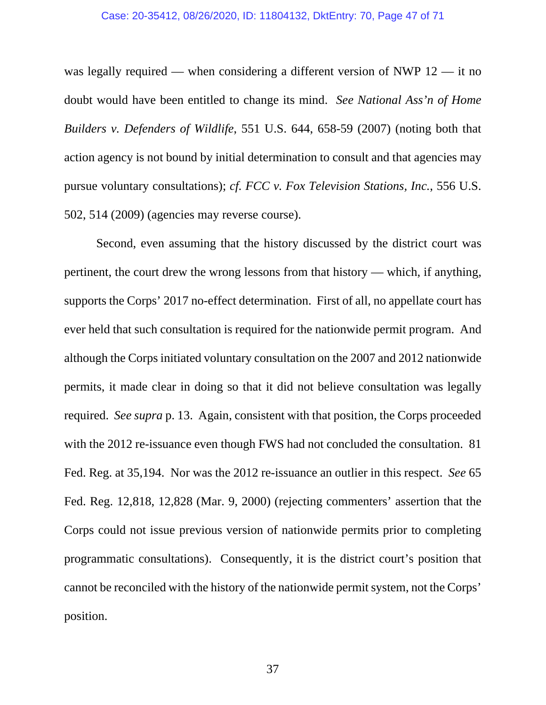## Case: 20-35412, 08/26/2020, ID: 11804132, DktEntry: 70, Page 47 of 71

was legally required — when considering a different version of NWP 12 — it no doubt would have been entitled to change its mind. *See National Ass'n of Home Builders v. Defenders of Wildlife*, 551 U.S. 644, 658-59 (2007) (noting both that action agency is not bound by initial determination to consult and that agencies may pursue voluntary consultations); *cf. FCC v. Fox Television Stations, Inc.*, 556 U.S. 502, 514 (2009) (agencies may reverse course).

Second, even assuming that the history discussed by the district court was pertinent, the court drew the wrong lessons from that history — which, if anything, supports the Corps' 2017 no-effect determination. First of all, no appellate court has ever held that such consultation is required for the nationwide permit program. And although the Corps initiated voluntary consultation on the 2007 and 2012 nationwide permits, it made clear in doing so that it did not believe consultation was legally required. *See supra* p. 13. Again, consistent with that position, the Corps proceeded with the 2012 re-issuance even though FWS had not concluded the consultation. 81 Fed. Reg. at 35,194. Nor was the 2012 re-issuance an outlier in this respect. *See* 65 Fed. Reg. 12,818, 12,828 (Mar. 9, 2000) (rejecting commenters' assertion that the Corps could not issue previous version of nationwide permits prior to completing programmatic consultations). Consequently, it is the district court's position that cannot be reconciled with the history of the nationwide permit system, not the Corps' position.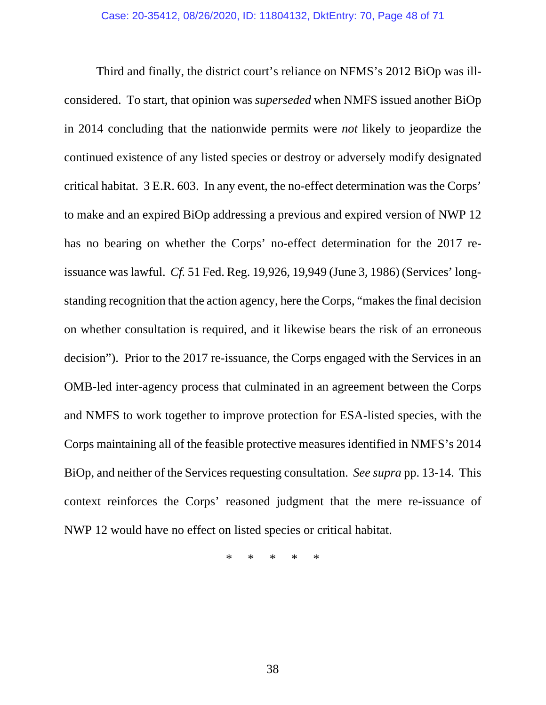Third and finally, the district court's reliance on NFMS's 2012 BiOp was illconsidered. To start, that opinion was *superseded* when NMFS issued another BiOp in 2014 concluding that the nationwide permits were *not* likely to jeopardize the continued existence of any listed species or destroy or adversely modify designated critical habitat. 3 E.R. 603. In any event, the no-effect determination was the Corps' to make and an expired BiOp addressing a previous and expired version of NWP 12 has no bearing on whether the Corps' no-effect determination for the 2017 reissuance was lawful. *Cf.* 51 Fed. Reg. 19,926, 19,949 (June 3, 1986) (Services' longstanding recognition that the action agency, here the Corps, "makes the final decision on whether consultation is required, and it likewise bears the risk of an erroneous decision"). Prior to the 2017 re-issuance, the Corps engaged with the Services in an OMB-led inter-agency process that culminated in an agreement between the Corps and NMFS to work together to improve protection for ESA-listed species, with the Corps maintaining all of the feasible protective measures identified in NMFS's 2014 BiOp, and neither of the Services requesting consultation. *See supra* pp. 13-14. This context reinforces the Corps' reasoned judgment that the mere re-issuance of NWP 12 would have no effect on listed species or critical habitat.

\* \* \* \* \*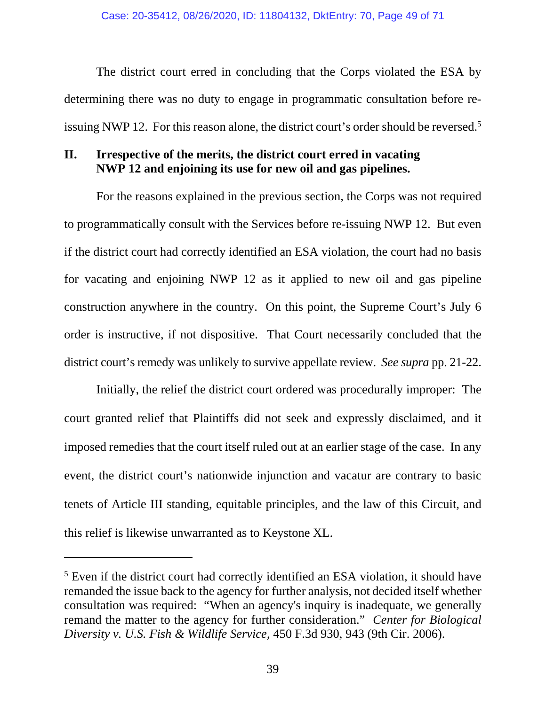The district court erred in concluding that the Corps violated the ESA by determining there was no duty to engage in programmatic consultation before reissuing NWP 12. For this reason alone, the district court's order should be reversed.<sup>5</sup>

# **II. Irrespective of the merits, the district court erred in vacating NWP 12 and enjoining its use for new oil and gas pipelines.**

For the reasons explained in the previous section, the Corps was not required to programmatically consult with the Services before re-issuing NWP 12. But even if the district court had correctly identified an ESA violation, the court had no basis for vacating and enjoining NWP 12 as it applied to new oil and gas pipeline construction anywhere in the country. On this point, the Supreme Court's July 6 order is instructive, if not dispositive. That Court necessarily concluded that the district court's remedy was unlikely to survive appellate review. *See supra* pp. 21-22.

Initially, the relief the district court ordered was procedurally improper: The court granted relief that Plaintiffs did not seek and expressly disclaimed, and it imposed remedies that the court itself ruled out at an earlier stage of the case. In any event, the district court's nationwide injunction and vacatur are contrary to basic tenets of Article III standing, equitable principles, and the law of this Circuit, and this relief is likewise unwarranted as to Keystone XL.

l

<sup>&</sup>lt;sup>5</sup> Even if the district court had correctly identified an ESA violation, it should have remanded the issue back to the agency for further analysis, not decided itself whether consultation was required: "When an agency's inquiry is inadequate, we generally remand the matter to the agency for further consideration." *Center for Biological Diversity v. U.S. Fish & Wildlife Service*, 450 F.3d 930, 943 (9th Cir. 2006).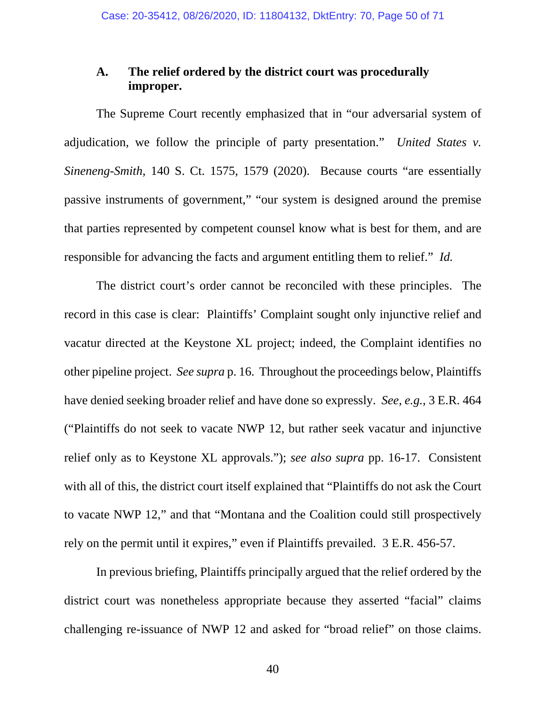# **A. The relief ordered by the district court was procedurally improper.**

The Supreme Court recently emphasized that in "our adversarial system of adjudication, we follow the principle of party presentation." *United States v. Sineneng-Smith*, 140 S. Ct. 1575, 1579 (2020). Because courts "are essentially passive instruments of government," "our system is designed around the premise that parties represented by competent counsel know what is best for them, and are responsible for advancing the facts and argument entitling them to relief." *Id.*

The district court's order cannot be reconciled with these principles. The record in this case is clear: Plaintiffs' Complaint sought only injunctive relief and vacatur directed at the Keystone XL project; indeed, the Complaint identifies no other pipeline project. *See supra* p. 16. Throughout the proceedings below, Plaintiffs have denied seeking broader relief and have done so expressly. *See, e.g.*, 3 E.R. 464 ("Plaintiffs do not seek to vacate NWP 12, but rather seek vacatur and injunctive relief only as to Keystone XL approvals."); *see also supra* pp. 16-17. Consistent with all of this, the district court itself explained that "Plaintiffs do not ask the Court to vacate NWP 12," and that "Montana and the Coalition could still prospectively rely on the permit until it expires," even if Plaintiffs prevailed. 3 E.R. 456-57.

In previous briefing, Plaintiffs principally argued that the relief ordered by the district court was nonetheless appropriate because they asserted "facial" claims challenging re-issuance of NWP 12 and asked for "broad relief" on those claims.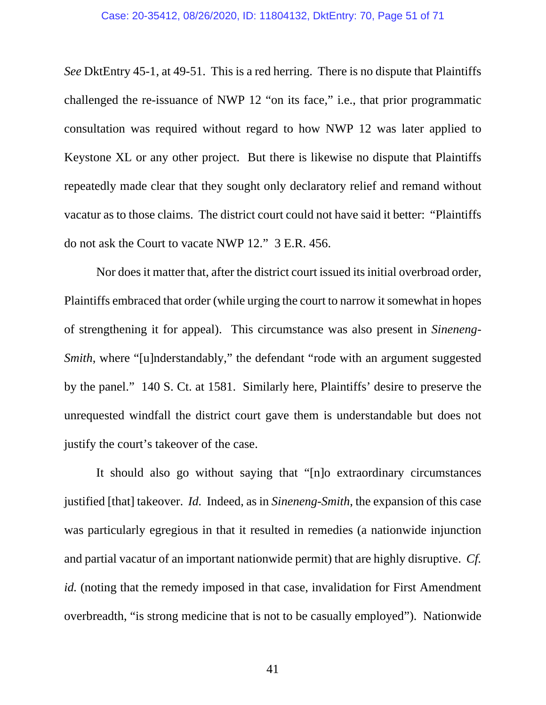*See* DktEntry 45-1, at 49-51. This is a red herring. There is no dispute that Plaintiffs challenged the re-issuance of NWP 12 "on its face," i.e., that prior programmatic consultation was required without regard to how NWP 12 was later applied to Keystone XL or any other project. But there is likewise no dispute that Plaintiffs repeatedly made clear that they sought only declaratory relief and remand without vacatur as to those claims. The district court could not have said it better: "Plaintiffs do not ask the Court to vacate NWP 12." 3 E.R. 456.

Nor does it matter that, after the district court issued its initial overbroad order, Plaintiffs embraced that order (while urging the court to narrow it somewhat in hopes of strengthening it for appeal). This circumstance was also present in *Sineneng-Smith*, where "[u]nderstandably," the defendant "rode with an argument suggested by the panel." 140 S. Ct. at 1581. Similarly here, Plaintiffs' desire to preserve the unrequested windfall the district court gave them is understandable but does not justify the court's takeover of the case.

It should also go without saying that "[n]o extraordinary circumstances justified [that] takeover. *Id.* Indeed, as in *Sineneng-Smith*, the expansion of this case was particularly egregious in that it resulted in remedies (a nationwide injunction and partial vacatur of an important nationwide permit) that are highly disruptive. *Cf. id.* (noting that the remedy imposed in that case, invalidation for First Amendment overbreadth, "is strong medicine that is not to be casually employed"). Nationwide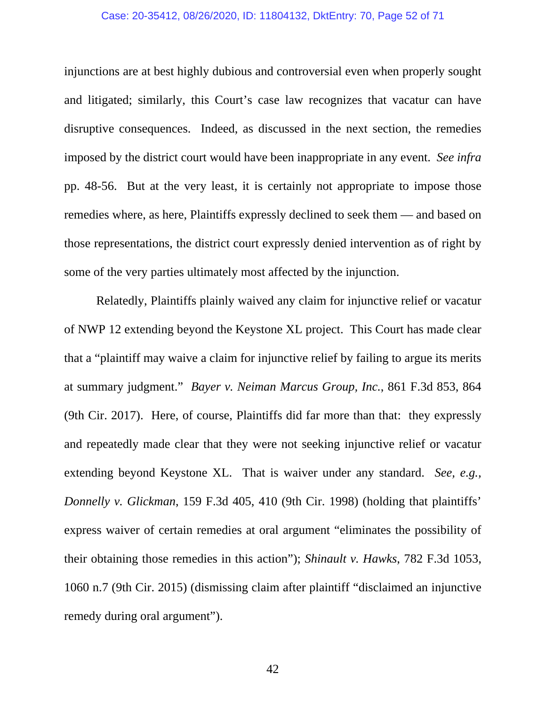## Case: 20-35412, 08/26/2020, ID: 11804132, DktEntry: 70, Page 52 of 71

injunctions are at best highly dubious and controversial even when properly sought and litigated; similarly, this Court's case law recognizes that vacatur can have disruptive consequences. Indeed, as discussed in the next section, the remedies imposed by the district court would have been inappropriate in any event. *See infra*  pp. 48-56. But at the very least, it is certainly not appropriate to impose those remedies where, as here, Plaintiffs expressly declined to seek them — and based on those representations, the district court expressly denied intervention as of right by some of the very parties ultimately most affected by the injunction.

Relatedly, Plaintiffs plainly waived any claim for injunctive relief or vacatur of NWP 12 extending beyond the Keystone XL project. This Court has made clear that a "plaintiff may waive a claim for injunctive relief by failing to argue its merits at summary judgment." *Bayer v. Neiman Marcus Group, Inc.*, 861 F.3d 853, 864 (9th Cir. 2017). Here, of course, Plaintiffs did far more than that: they expressly and repeatedly made clear that they were not seeking injunctive relief or vacatur extending beyond Keystone XL. That is waiver under any standard. *See, e.g., Donnelly v. Glickman*, 159 F.3d 405, 410 (9th Cir. 1998) (holding that plaintiffs' express waiver of certain remedies at oral argument "eliminates the possibility of their obtaining those remedies in this action"); *Shinault v. Hawks*, 782 F.3d 1053, 1060 n.7 (9th Cir. 2015) (dismissing claim after plaintiff "disclaimed an injunctive remedy during oral argument").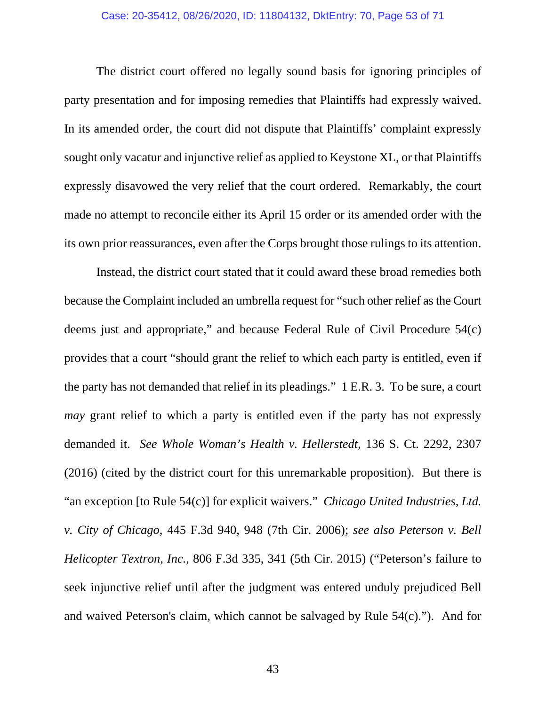## Case: 20-35412, 08/26/2020, ID: 11804132, DktEntry: 70, Page 53 of 71

The district court offered no legally sound basis for ignoring principles of party presentation and for imposing remedies that Plaintiffs had expressly waived. In its amended order, the court did not dispute that Plaintiffs' complaint expressly sought only vacatur and injunctive relief as applied to Keystone XL, or that Plaintiffs expressly disavowed the very relief that the court ordered. Remarkably, the court made no attempt to reconcile either its April 15 order or its amended order with the its own prior reassurances, even after the Corps brought those rulings to its attention.

Instead, the district court stated that it could award these broad remedies both because the Complaint included an umbrella request for "such other relief as the Court deems just and appropriate," and because Federal Rule of Civil Procedure 54(c) provides that a court "should grant the relief to which each party is entitled, even if the party has not demanded that relief in its pleadings." 1 E.R. 3. To be sure, a court *may* grant relief to which a party is entitled even if the party has not expressly demanded it. *See Whole Woman's Health v. Hellerstedt*, 136 S. Ct. 2292, 2307 (2016) (cited by the district court for this unremarkable proposition). But there is "an exception [to Rule 54(c)] for explicit waivers." *Chicago United Industries, Ltd. v. City of Chicago*, 445 F.3d 940, 948 (7th Cir. 2006); *see also Peterson v. Bell Helicopter Textron, Inc.*, 806 F.3d 335, 341 (5th Cir. 2015) ("Peterson's failure to seek injunctive relief until after the judgment was entered unduly prejudiced Bell and waived Peterson's claim, which cannot be salvaged by Rule 54(c)."). And for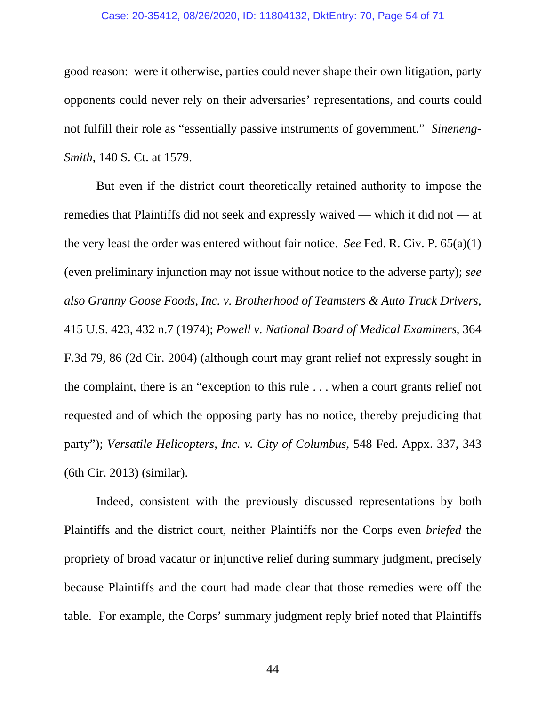## Case: 20-35412, 08/26/2020, ID: 11804132, DktEntry: 70, Page 54 of 71

good reason: were it otherwise, parties could never shape their own litigation, party opponents could never rely on their adversaries' representations, and courts could not fulfill their role as "essentially passive instruments of government." *Sineneng-Smith*, 140 S. Ct. at 1579.

But even if the district court theoretically retained authority to impose the remedies that Plaintiffs did not seek and expressly waived — which it did not — at the very least the order was entered without fair notice. *See* Fed. R. Civ. P. 65(a)(1) (even preliminary injunction may not issue without notice to the adverse party); *see also Granny Goose Foods, Inc. v. Brotherhood of Teamsters & Auto Truck Drivers*, 415 U.S. 423, 432 n.7 (1974); *Powell v. National Board of Medical Examiners*, 364 F.3d 79, 86 (2d Cir. 2004) (although court may grant relief not expressly sought in the complaint, there is an "exception to this rule . . . when a court grants relief not requested and of which the opposing party has no notice, thereby prejudicing that party"); *Versatile Helicopters, Inc. v. City of Columbus*, 548 Fed. Appx. 337, 343 (6th Cir. 2013) (similar).

Indeed, consistent with the previously discussed representations by both Plaintiffs and the district court, neither Plaintiffs nor the Corps even *briefed* the propriety of broad vacatur or injunctive relief during summary judgment, precisely because Plaintiffs and the court had made clear that those remedies were off the table. For example, the Corps' summary judgment reply brief noted that Plaintiffs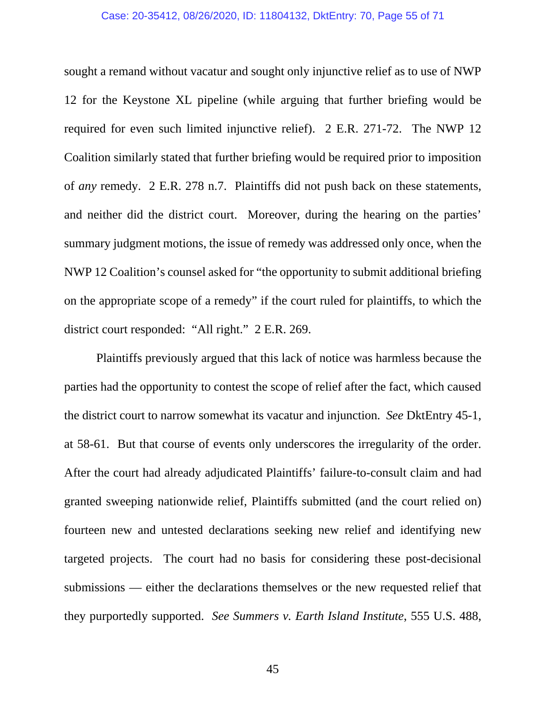## Case: 20-35412, 08/26/2020, ID: 11804132, DktEntry: 70, Page 55 of 71

sought a remand without vacatur and sought only injunctive relief as to use of NWP 12 for the Keystone XL pipeline (while arguing that further briefing would be required for even such limited injunctive relief). 2 E.R. 271-72. The NWP 12 Coalition similarly stated that further briefing would be required prior to imposition of *any* remedy. 2 E.R. 278 n.7. Plaintiffs did not push back on these statements, and neither did the district court. Moreover, during the hearing on the parties' summary judgment motions, the issue of remedy was addressed only once, when the NWP 12 Coalition's counsel asked for "the opportunity to submit additional briefing on the appropriate scope of a remedy" if the court ruled for plaintiffs, to which the district court responded: "All right." 2 E.R. 269.

Plaintiffs previously argued that this lack of notice was harmless because the parties had the opportunity to contest the scope of relief after the fact, which caused the district court to narrow somewhat its vacatur and injunction. *See* DktEntry 45-1, at 58-61. But that course of events only underscores the irregularity of the order. After the court had already adjudicated Plaintiffs' failure-to-consult claim and had granted sweeping nationwide relief, Plaintiffs submitted (and the court relied on) fourteen new and untested declarations seeking new relief and identifying new targeted projects. The court had no basis for considering these post-decisional submissions — either the declarations themselves or the new requested relief that they purportedly supported. *See Summers v. Earth Island Institute*, 555 U.S. 488,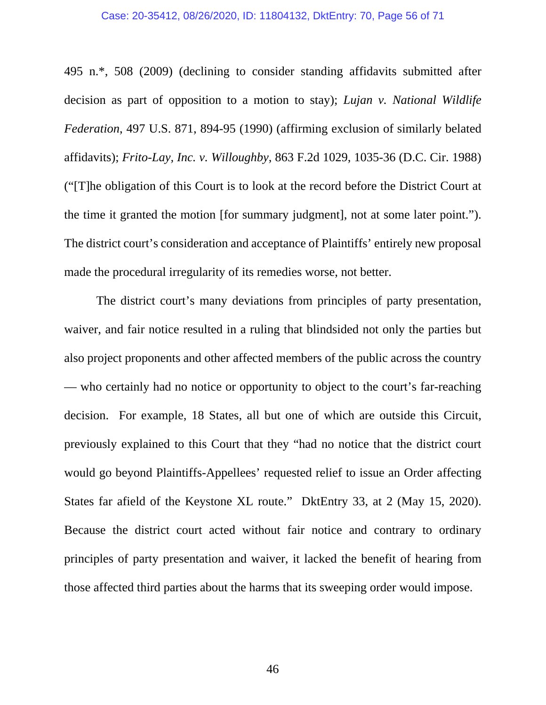#### Case: 20-35412, 08/26/2020, ID: 11804132, DktEntry: 70, Page 56 of 71

495 n.\*, 508 (2009) (declining to consider standing affidavits submitted after decision as part of opposition to a motion to stay); *Lujan v. National Wildlife Federation*, 497 U.S. 871, 894-95 (1990) (affirming exclusion of similarly belated affidavits); *Frito-Lay, Inc. v. Willoughby*, 863 F.2d 1029, 1035-36 (D.C. Cir. 1988) ("[T]he obligation of this Court is to look at the record before the District Court at the time it granted the motion [for summary judgment], not at some later point."). The district court's consideration and acceptance of Plaintiffs' entirely new proposal made the procedural irregularity of its remedies worse, not better.

The district court's many deviations from principles of party presentation, waiver, and fair notice resulted in a ruling that blindsided not only the parties but also project proponents and other affected members of the public across the country — who certainly had no notice or opportunity to object to the court's far-reaching decision. For example, 18 States, all but one of which are outside this Circuit, previously explained to this Court that they "had no notice that the district court would go beyond Plaintiffs-Appellees' requested relief to issue an Order affecting States far afield of the Keystone XL route." DktEntry 33, at 2 (May 15, 2020). Because the district court acted without fair notice and contrary to ordinary principles of party presentation and waiver, it lacked the benefit of hearing from those affected third parties about the harms that its sweeping order would impose.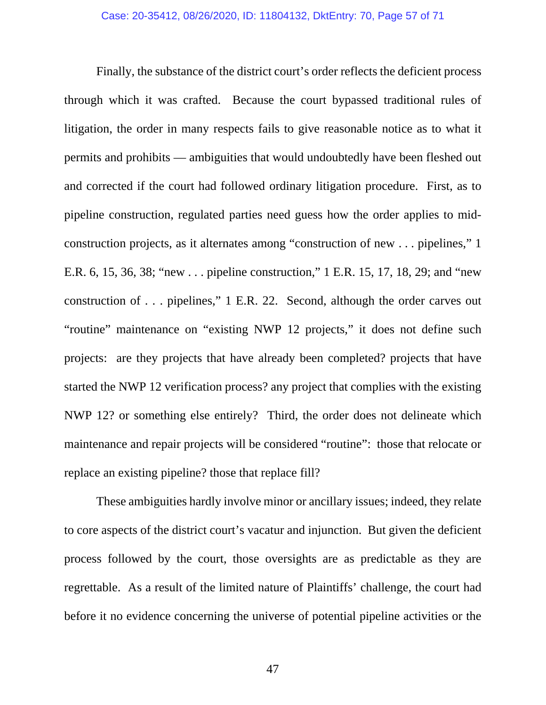Finally, the substance of the district court's order reflects the deficient process through which it was crafted. Because the court bypassed traditional rules of litigation, the order in many respects fails to give reasonable notice as to what it permits and prohibits — ambiguities that would undoubtedly have been fleshed out and corrected if the court had followed ordinary litigation procedure. First, as to pipeline construction, regulated parties need guess how the order applies to midconstruction projects, as it alternates among "construction of new . . . pipelines," 1 E.R. 6, 15, 36, 38; "new . . . pipeline construction," 1 E.R. 15, 17, 18, 29; and "new construction of . . . pipelines," 1 E.R. 22. Second, although the order carves out "routine" maintenance on "existing NWP 12 projects," it does not define such projects: are they projects that have already been completed? projects that have started the NWP 12 verification process? any project that complies with the existing NWP 12? or something else entirely? Third, the order does not delineate which maintenance and repair projects will be considered "routine": those that relocate or replace an existing pipeline? those that replace fill?

These ambiguities hardly involve minor or ancillary issues; indeed, they relate to core aspects of the district court's vacatur and injunction. But given the deficient process followed by the court, those oversights are as predictable as they are regrettable. As a result of the limited nature of Plaintiffs' challenge, the court had before it no evidence concerning the universe of potential pipeline activities or the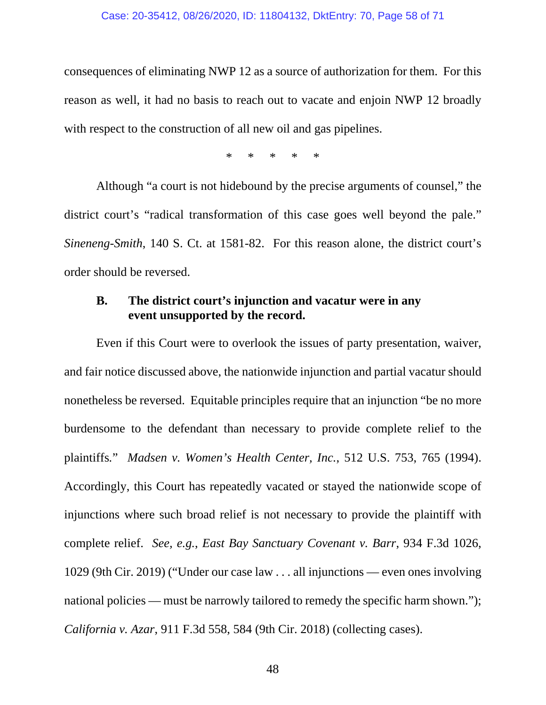consequences of eliminating NWP 12 as a source of authorization for them. For this reason as well, it had no basis to reach out to vacate and enjoin NWP 12 broadly with respect to the construction of all new oil and gas pipelines.

\* \* \* \* \*

Although "a court is not hidebound by the precise arguments of counsel," the district court's "radical transformation of this case goes well beyond the pale." *Sineneng-Smith*, 140 S. Ct. at 1581-82. For this reason alone, the district court's order should be reversed.

# **B. The district court's injunction and vacatur were in any event unsupported by the record.**

Even if this Court were to overlook the issues of party presentation, waiver, and fair notice discussed above, the nationwide injunction and partial vacatur should nonetheless be reversed. Equitable principles require that an injunction "be no more burdensome to the defendant than necessary to provide complete relief to the plaintiffs*.*" *Madsen v. Women's Health Center, Inc.*, 512 U.S. 753, 765 (1994). Accordingly, this Court has repeatedly vacated or stayed the nationwide scope of injunctions where such broad relief is not necessary to provide the plaintiff with complete relief. *See, e.g.*, *East Bay Sanctuary Covenant v. Barr*, 934 F.3d 1026, 1029 (9th Cir. 2019) ("Under our case law . . . all injunctions — even ones involving national policies — must be narrowly tailored to remedy the specific harm shown."); *California v. Azar*, 911 F.3d 558, 584 (9th Cir. 2018) (collecting cases).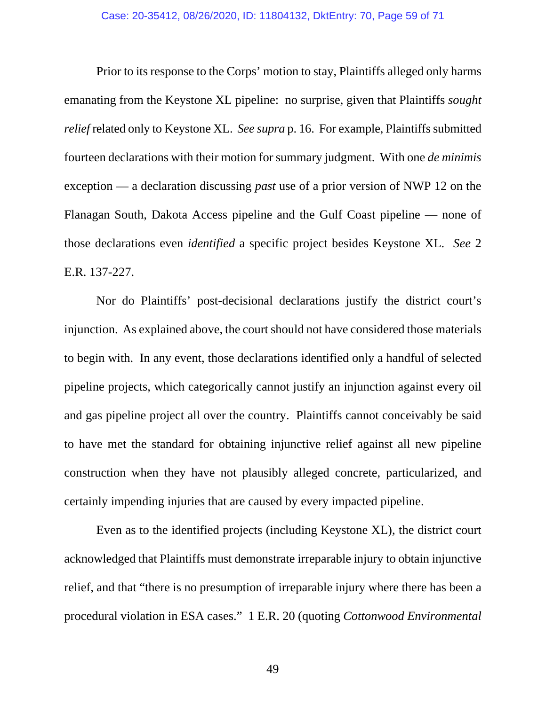Prior to its response to the Corps' motion to stay, Plaintiffs alleged only harms emanating from the Keystone XL pipeline: no surprise, given that Plaintiffs *sought relief* related only to Keystone XL. *See supra* p. 16. For example, Plaintiffs submitted fourteen declarations with their motion for summary judgment. With one *de minimis* exception — a declaration discussing *past* use of a prior version of NWP 12 on the Flanagan South, Dakota Access pipeline and the Gulf Coast pipeline — none of those declarations even *identified* a specific project besides Keystone XL. *See* 2 E.R. 137-227.

Nor do Plaintiffs' post-decisional declarations justify the district court's injunction. As explained above, the court should not have considered those materials to begin with. In any event, those declarations identified only a handful of selected pipeline projects, which categorically cannot justify an injunction against every oil and gas pipeline project all over the country. Plaintiffs cannot conceivably be said to have met the standard for obtaining injunctive relief against all new pipeline construction when they have not plausibly alleged concrete, particularized, and certainly impending injuries that are caused by every impacted pipeline.

Even as to the identified projects (including Keystone XL), the district court acknowledged that Plaintiffs must demonstrate irreparable injury to obtain injunctive relief, and that "there is no presumption of irreparable injury where there has been a procedural violation in ESA cases." 1 E.R. 20 (quoting *Cottonwood Environmental*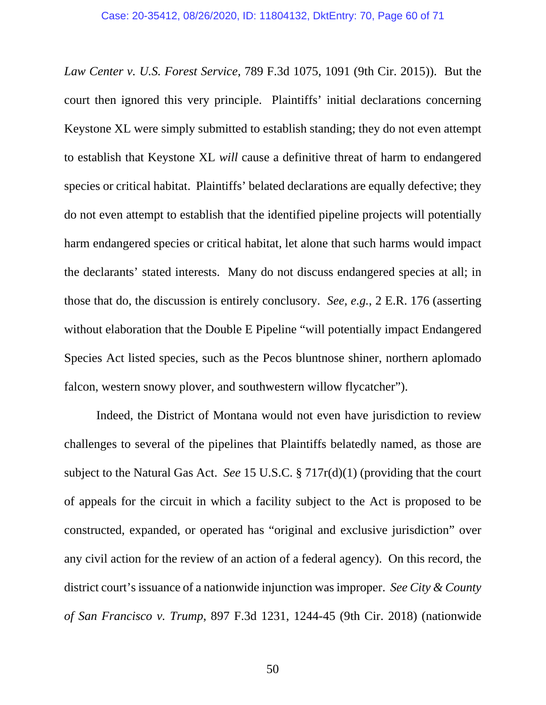*Law Center v. U.S. Forest Service*, 789 F.3d 1075, 1091 (9th Cir. 2015)). But the court then ignored this very principle. Plaintiffs' initial declarations concerning Keystone XL were simply submitted to establish standing; they do not even attempt to establish that Keystone XL *will* cause a definitive threat of harm to endangered species or critical habitat. Plaintiffs' belated declarations are equally defective; they do not even attempt to establish that the identified pipeline projects will potentially harm endangered species or critical habitat, let alone that such harms would impact the declarants' stated interests. Many do not discuss endangered species at all; in those that do, the discussion is entirely conclusory. *See, e.g.*, 2 E.R. 176 (asserting without elaboration that the Double E Pipeline "will potentially impact Endangered Species Act listed species, such as the Pecos bluntnose shiner, northern aplomado falcon, western snowy plover, and southwestern willow flycatcher").

Indeed, the District of Montana would not even have jurisdiction to review challenges to several of the pipelines that Plaintiffs belatedly named, as those are subject to the Natural Gas Act. *See* 15 U.S.C. § 717r(d)(1) (providing that the court of appeals for the circuit in which a facility subject to the Act is proposed to be constructed, expanded, or operated has "original and exclusive jurisdiction" over any civil action for the review of an action of a federal agency). On this record, the district court's issuance of a nationwide injunction was improper. *See City & County of San Francisco v. Trump*, 897 F.3d 1231, 1244-45 (9th Cir. 2018) (nationwide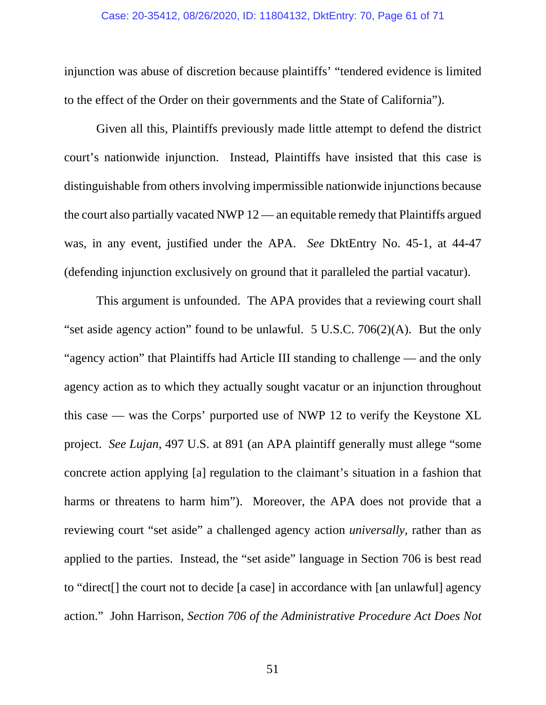## Case: 20-35412, 08/26/2020, ID: 11804132, DktEntry: 70, Page 61 of 71

injunction was abuse of discretion because plaintiffs' "tendered evidence is limited to the effect of the Order on their governments and the State of California").

Given all this, Plaintiffs previously made little attempt to defend the district court's nationwide injunction. Instead, Plaintiffs have insisted that this case is distinguishable from others involving impermissible nationwide injunctions because the court also partially vacated NWP 12 — an equitable remedy that Plaintiffs argued was, in any event, justified under the APA. *See* DktEntry No. 45-1, at 44-47 (defending injunction exclusively on ground that it paralleled the partial vacatur).

This argument is unfounded. The APA provides that a reviewing court shall "set aside agency action" found to be unlawful. 5 U.S.C. 706(2)(A). But the only "agency action" that Plaintiffs had Article III standing to challenge — and the only agency action as to which they actually sought vacatur or an injunction throughout this case — was the Corps' purported use of NWP 12 to verify the Keystone XL project. *See Lujan*, 497 U.S. at 891 (an APA plaintiff generally must allege "some concrete action applying [a] regulation to the claimant's situation in a fashion that harms or threatens to harm him"). Moreover, the APA does not provide that a reviewing court "set aside" a challenged agency action *universally*, rather than as applied to the parties. Instead, the "set aside" language in Section 706 is best read to "direct[] the court not to decide [a case] in accordance with [an unlawful] agency action." John Harrison, *Section 706 of the Administrative Procedure Act Does Not*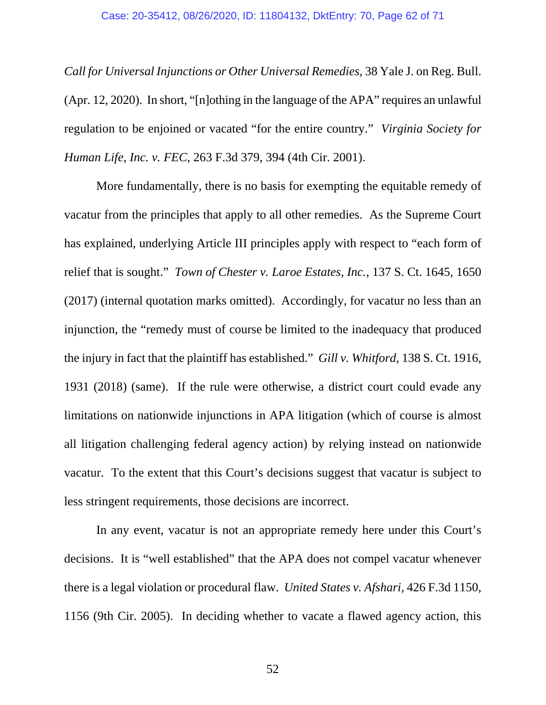*Call for Universal Injunctions or Other Universal Remedies*, 38 Yale J. on Reg. Bull. (Apr. 12, 2020). In short, "[n]othing in the language of the APA" requires an unlawful regulation to be enjoined or vacated "for the entire country." *Virginia Society for Human Life, Inc. v. FEC*, 263 F.3d 379, 394 (4th Cir. 2001).

More fundamentally, there is no basis for exempting the equitable remedy of vacatur from the principles that apply to all other remedies. As the Supreme Court has explained, underlying Article III principles apply with respect to "each form of relief that is sought." *Town of Chester v. Laroe Estates, Inc.*, 137 S. Ct. 1645, 1650 (2017) (internal quotation marks omitted). Accordingly, for vacatur no less than an injunction, the "remedy must of course be limited to the inadequacy that produced the injury in fact that the plaintiff has established." *Gill v. Whitford*, 138 S. Ct. 1916, 1931 (2018) (same). If the rule were otherwise, a district court could evade any limitations on nationwide injunctions in APA litigation (which of course is almost all litigation challenging federal agency action) by relying instead on nationwide vacatur. To the extent that this Court's decisions suggest that vacatur is subject to less stringent requirements, those decisions are incorrect.

 In any event, vacatur is not an appropriate remedy here under this Court's decisions. It is "well established" that the APA does not compel vacatur whenever there is a legal violation or procedural flaw. *United States v. Afshari*, 426 F.3d 1150, 1156 (9th Cir. 2005). In deciding whether to vacate a flawed agency action, this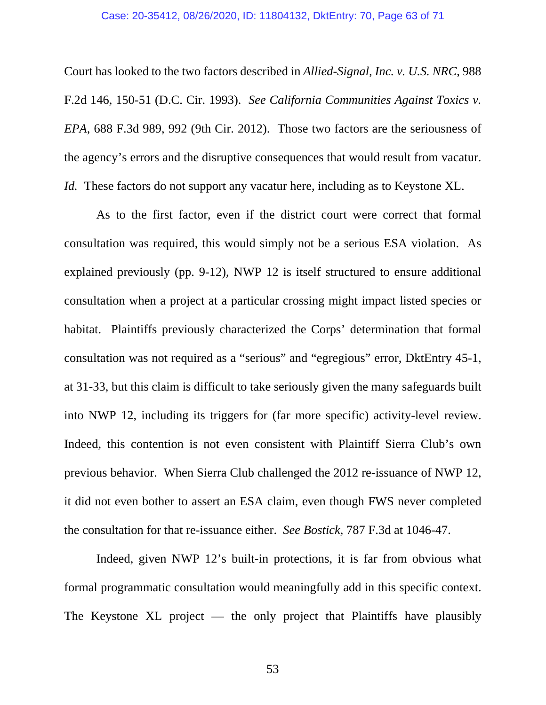#### Case: 20-35412, 08/26/2020, ID: 11804132, DktEntry: 70, Page 63 of 71

Court has looked to the two factors described in *Allied-Signal, Inc. v. U.S. NRC*, 988 F.2d 146, 150-51 (D.C. Cir. 1993). *See California Communities Against Toxics v. EPA*, 688 F.3d 989, 992 (9th Cir. 2012). Those two factors are the seriousness of the agency's errors and the disruptive consequences that would result from vacatur. *Id.* These factors do not support any vacatur here, including as to Keystone XL.

 As to the first factor, even if the district court were correct that formal consultation was required, this would simply not be a serious ESA violation. As explained previously (pp. 9-12), NWP 12 is itself structured to ensure additional consultation when a project at a particular crossing might impact listed species or habitat. Plaintiffs previously characterized the Corps' determination that formal consultation was not required as a "serious" and "egregious" error, DktEntry 45-1, at 31-33, but this claim is difficult to take seriously given the many safeguards built into NWP 12, including its triggers for (far more specific) activity-level review. Indeed, this contention is not even consistent with Plaintiff Sierra Club's own previous behavior. When Sierra Club challenged the 2012 re-issuance of NWP 12, it did not even bother to assert an ESA claim, even though FWS never completed the consultation for that re-issuance either. *See Bostick*, 787 F.3d at 1046-47.

Indeed, given NWP 12's built-in protections, it is far from obvious what formal programmatic consultation would meaningfully add in this specific context. The Keystone XL project — the only project that Plaintiffs have plausibly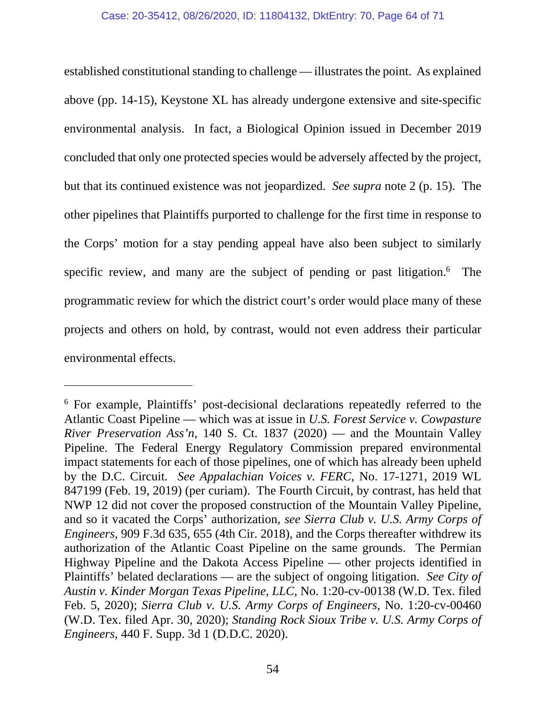established constitutional standing to challenge — illustrates the point. As explained above (pp. 14-15), Keystone XL has already undergone extensive and site-specific environmental analysis. In fact, a Biological Opinion issued in December 2019 concluded that only one protected species would be adversely affected by the project, but that its continued existence was not jeopardized. *See supra* note 2 (p. 15). The other pipelines that Plaintiffs purported to challenge for the first time in response to the Corps' motion for a stay pending appeal have also been subject to similarly specific review, and many are the subject of pending or past litigation.<sup>6</sup> The programmatic review for which the district court's order would place many of these projects and others on hold, by contrast, would not even address their particular environmental effects.

-

<sup>&</sup>lt;sup>6</sup> For example, Plaintiffs' post-decisional declarations repeatedly referred to the Atlantic Coast Pipeline — which was at issue in *U.S. Forest Service v. Cowpasture River Preservation Ass'n*, 140 S. Ct. 1837 (2020) — and the Mountain Valley Pipeline. The Federal Energy Regulatory Commission prepared environmental impact statements for each of those pipelines, one of which has already been upheld by the D.C. Circuit*. See Appalachian Voices v. FERC*, No. 17-1271, 2019 WL 847199 (Feb. 19, 2019) (per curiam). The Fourth Circuit, by contrast, has held that NWP 12 did not cover the proposed construction of the Mountain Valley Pipeline, and so it vacated the Corps' authorization, *see Sierra Club v. U.S. Army Corps of Engineers*, 909 F.3d 635, 655 (4th Cir. 2018), and the Corps thereafter withdrew its authorization of the Atlantic Coast Pipeline on the same grounds. The Permian Highway Pipeline and the Dakota Access Pipeline — other projects identified in Plaintiffs' belated declarations — are the subject of ongoing litigation. *See City of Austin v. Kinder Morgan Texas Pipeline, LLC*, No. 1:20-cv-00138 (W.D. Tex. filed Feb. 5, 2020); *Sierra Club v. U.S. Army Corps of Engineers*, No. 1:20-cv-00460 (W.D. Tex. filed Apr. 30, 2020); *Standing Rock Sioux Tribe v. U.S. Army Corps of Engineers*, 440 F. Supp. 3d 1 (D.D.C. 2020).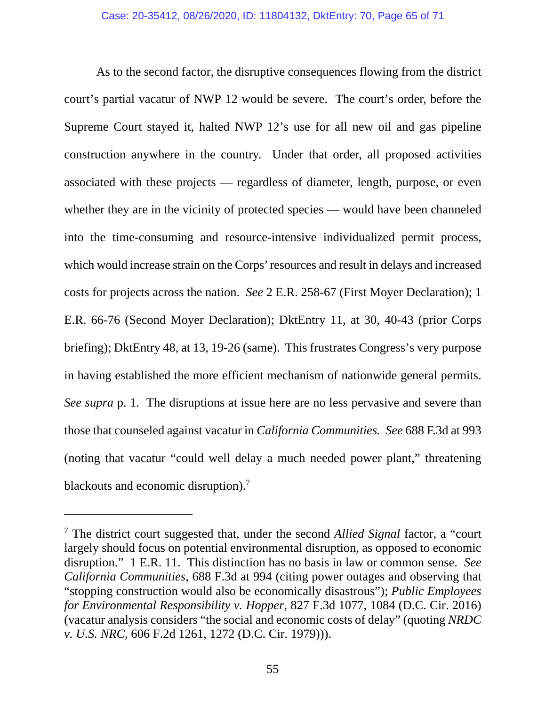As to the second factor, the disruptive consequences flowing from the district court's partial vacatur of NWP 12 would be severe. The court's order, before the Supreme Court stayed it, halted NWP 12's use for all new oil and gas pipeline construction anywhere in the country. Under that order, all proposed activities associated with these projects — regardless of diameter, length, purpose, or even whether they are in the vicinity of protected species — would have been channeled into the time-consuming and resource-intensive individualized permit process, which would increase strain on the Corps' resources and result in delays and increased costs for projects across the nation. *See* 2 E.R. 258-67 (First Moyer Declaration); 1 E.R. 66-76 (Second Moyer Declaration); DktEntry 11, at 30, 40-43 (prior Corps briefing); DktEntry 48, at 13, 19-26 (same). This frustrates Congress's very purpose in having established the more efficient mechanism of nationwide general permits. *See supra* p. 1. The disruptions at issue here are no less pervasive and severe than those that counseled against vacatur in *California Communities. See* 688 F.3d at 993 (noting that vacatur "could well delay a much needed power plant," threatening blackouts and economic disruption).<sup>7</sup>

 $\overline{a}$ 

<sup>7</sup> The district court suggested that, under the second *Allied Signal* factor, a "court largely should focus on potential environmental disruption, as opposed to economic disruption." 1 E.R. 11. This distinction has no basis in law or common sense. *See California Communities*, 688 F.3d at 994 (citing power outages and observing that "stopping construction would also be economically disastrous"); *Public Employees for Environmental Responsibility v. Hopper*, 827 F.3d 1077, 1084 (D.C. Cir. 2016) (vacatur analysis considers "the social and economic costs of delay" (quoting *NRDC v. U.S. NRC*, 606 F.2d 1261, 1272 (D.C. Cir. 1979))).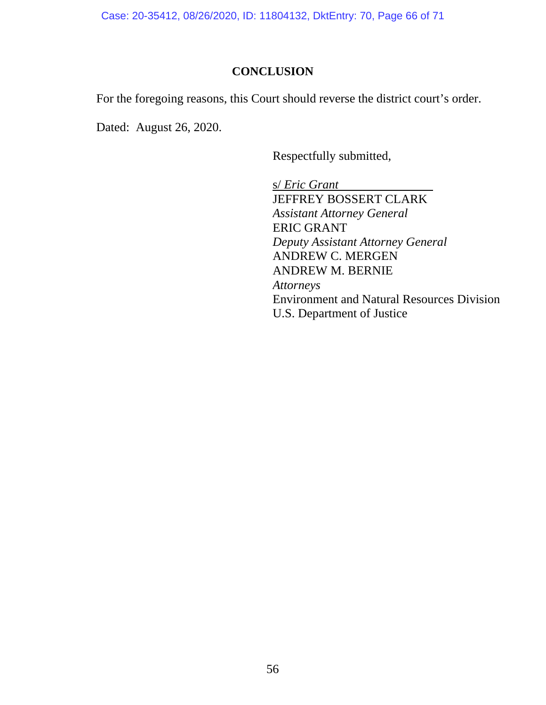Case: 20-35412, 08/26/2020, ID: 11804132, DktEntry: 70, Page 66 of 71

# **CONCLUSION**

For the foregoing reasons, this Court should reverse the district court's order.

Dated: August 26, 2020.

Respectfully submitted,

s/ *Eric Grant* JEFFREY BOSSERT CLARK *Assistant Attorney General* ERIC GRANT *Deputy Assistant Attorney General* ANDREW C. MERGEN ANDREW M. BERNIE *Attorneys*  Environment and Natural Resources Division U.S. Department of Justice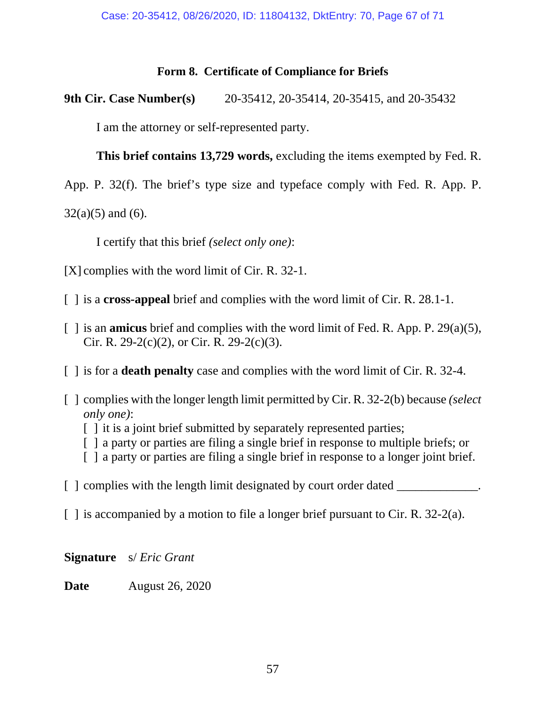# **Form 8. Certificate of Compliance for Briefs**

**9th Cir. Case Number(s)** 20-35412, 20-35414, 20-35415, and 20-35432

I am the attorney or self-represented party.

 **This brief contains 13,729 words,** excluding the items exempted by Fed. R.

App. P. 32(f). The brief's type size and typeface comply with Fed. R. App. P.

 $32(a)(5)$  and (6).

I certify that this brief *(select only one)*:

- [X] complies with the word limit of Cir. R. 32-1.
- [ ] is a **cross-appeal** brief and complies with the word limit of Cir. R. 28.1-1.
- [ ] is an **amicus** brief and complies with the word limit of Fed. R. App. P. 29(a)(5), Cir. R. 29-2(c)(2), or Cir. R. 29-2(c)(3).
- [ ] is for a **death penalty** case and complies with the word limit of Cir. R. 32-4.
- [ ] complies with the longer length limit permitted by Cir. R. 32-2(b) because *(select only one)*:
	- [] it is a joint brief submitted by separately represented parties;
	- [ ] a party or parties are filing a single brief in response to multiple briefs; or
	- [ ] a party or parties are filing a single brief in response to a longer joint brief.

 $\lceil$   $\lceil$  complies with the length limit designated by court order dated

[ ] is accompanied by a motion to file a longer brief pursuant to Cir. R. 32-2(a).

**Signature** s/ *Eric Grant*

**Date** August 26, 2020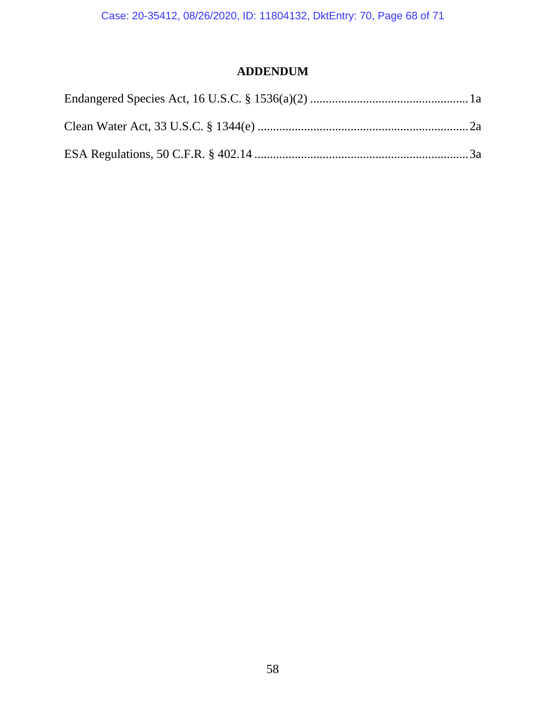Case: 20-35412, 08/26/2020, ID: 11804132, DktEntry: 70, Page 68 of 71

# **ADDENDUM**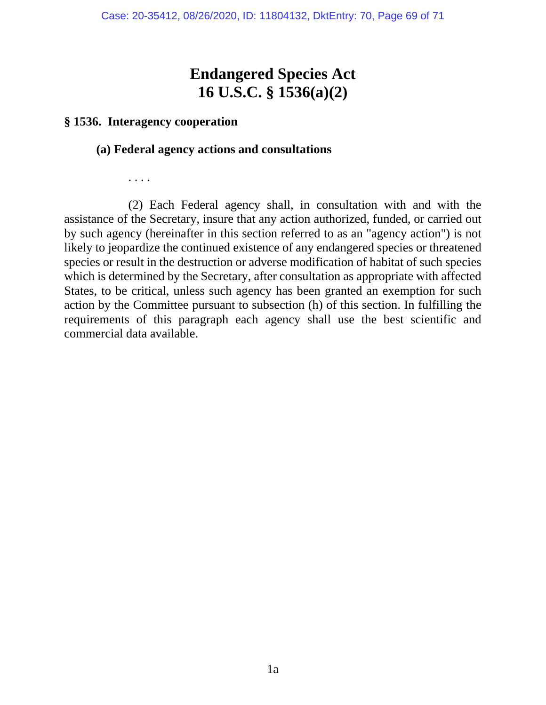# **Endangered Species Act 16 U.S.C. § 1536(a)(2)**

# **§ 1536. Interagency cooperation**

# **(a) Federal agency actions and consultations**

. . . .

 (2) Each Federal agency shall, in consultation with and with the assistance of the Secretary, insure that any action authorized, funded, or carried out by such agency (hereinafter in this section referred to as an "agency action") is not likely to jeopardize the continued existence of any endangered species or threatened species or result in the destruction or adverse modification of habitat of such species which is determined by the Secretary, after consultation as appropriate with affected States, to be critical, unless such agency has been granted an exemption for such action by the Committee pursuant to subsection (h) of this section. In fulfilling the requirements of this paragraph each agency shall use the best scientific and commercial data available.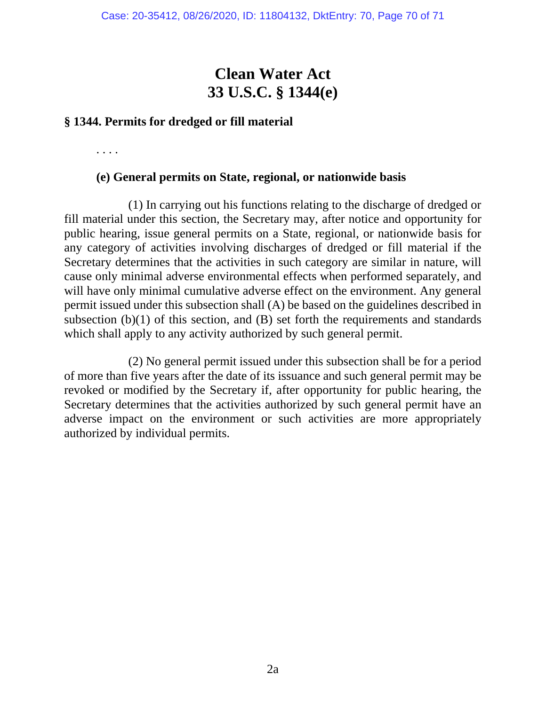# **Clean Water Act 33 U.S.C. § 1344(e)**

# **§ 1344. Permits for dredged or fill material**

. . . .

# **(e) General permits on State, regional, or nationwide basis**

 (1) In carrying out his functions relating to the discharge of dredged or fill material under this section, the Secretary may, after notice and opportunity for public hearing, issue general permits on a State, regional, or nationwide basis for any category of activities involving discharges of dredged or fill material if the Secretary determines that the activities in such category are similar in nature, will cause only minimal adverse environmental effects when performed separately, and will have only minimal cumulative adverse effect on the environment. Any general permit issued under this subsection shall (A) be based on the guidelines described in subsection (b)(1) of this section, and (B) set forth the requirements and standards which shall apply to any activity authorized by such general permit.

 (2) No general permit issued under this subsection shall be for a period of more than five years after the date of its issuance and such general permit may be revoked or modified by the Secretary if, after opportunity for public hearing, the Secretary determines that the activities authorized by such general permit have an adverse impact on the environment or such activities are more appropriately authorized by individual permits.